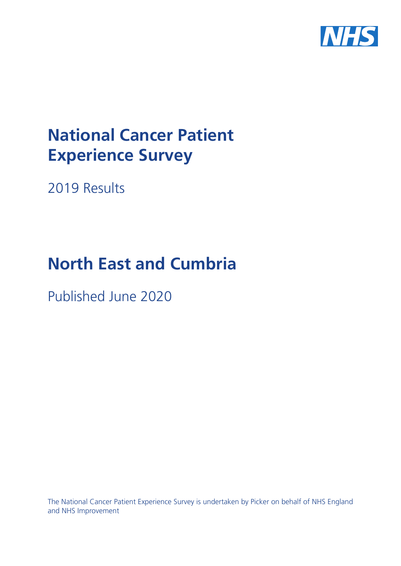

# **National Cancer Patient Experience Survey**

2019 Results

# **North East and Cumbria**

Published June 2020

The National Cancer Patient Experience Survey is undertaken by Picker on behalf of NHS England and NHS Improvement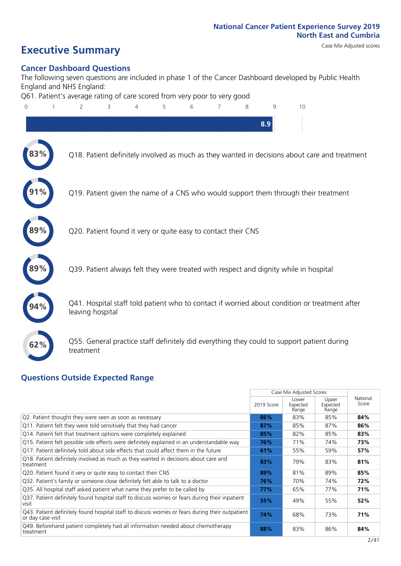# **Executive Summary** Case Mix Adjusted scores

#### **Cancer Dashboard Questions**

The following seven questions are included in phase 1 of the Cancer Dashboard developed by Public Health England and NHS England:

Q61. Patient's average rating of care scored from very poor to very good



#### **Questions Outside Expected Range**

|                                                                                                                       |            | Case Mix Adjusted Scores   |                            |                   |
|-----------------------------------------------------------------------------------------------------------------------|------------|----------------------------|----------------------------|-------------------|
|                                                                                                                       | 2019 Score | Lower<br>Expected<br>Range | Upper<br>Expected<br>Range | National<br>Score |
| Q2. Patient thought they were seen as soon as necessary                                                               | 86%        | 83%                        | 85%                        | 84%               |
| Q11. Patient felt they were told sensitively that they had cancer                                                     | 87%        | 85%                        | 87%                        | 86%               |
| Q14. Patient felt that treatment options were completely explained                                                    | 85%        | 82%                        | 85%                        | 83%               |
| Q15. Patient felt possible side effects were definitely explained in an understandable way                            | 76%        | 71%                        | 74%                        | 73%               |
| Q17. Patient definitely told about side effects that could affect them in the future                                  | 61%        | 55%                        | 59%                        | 57%               |
| Q18. Patient definitely involved as much as they wanted in decisions about care and<br>treatment                      | 83%        | 79%                        | 83%                        | 81%               |
| Q20. Patient found it very or quite easy to contact their CNS                                                         | 89%        | 81%                        | 89%                        | 85%               |
| Q32. Patient's family or someone close definitely felt able to talk to a doctor                                       | 76%        | 70%                        | 74%                        | 72%               |
| Q35. All hospital staff asked patient what name they prefer to be called by                                           | 77%        | 65%                        | 77%                        | 71%               |
| Q37. Patient definitely found hospital staff to discuss worries or fears during their inpatient<br>visit              | 55%        | 49%                        | 55%                        | 52%               |
| Q43. Patient definitely found hospital staff to discuss worries or fears during their outpatient<br>or day case visit | 74%        | 68%                        | 73%                        | 71%               |
| Q49. Beforehand patient completely had all information needed about chemotherapy<br>treatment                         | 88%        | 83%                        | 86%                        | 84%               |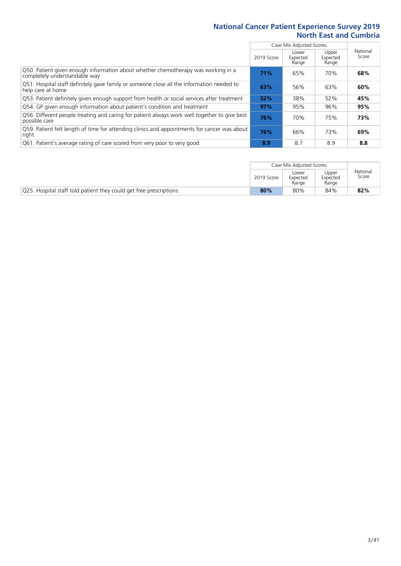|                                                                                                                    |            | Case Mix Adjusted Scores   |                            |                   |
|--------------------------------------------------------------------------------------------------------------------|------------|----------------------------|----------------------------|-------------------|
|                                                                                                                    | 2019 Score | Lower<br>Expected<br>Range | Upper<br>Expected<br>Range | National<br>Score |
| Q50. Patient given enough information about whether chemotherapy was working in a<br>completely understandable way | 71%        | 65%                        | 70%                        | 68%               |
| Q51. Hospital staff definitely gave family or someone close all the information needed to<br>help care at home     | 63%        | 56%                        | 63%                        | 60%               |
| Q53. Patient definitely given enough support from health or social services after treatment                        | 52%        | 38%                        | 52%                        | 45%               |
| Q54. GP given enough information about patient's condition and treatment                                           | 97%        | 95%                        | 96%                        | 95%               |
| Q56. Different people treating and caring for patient always work well together to give best<br>possible care      | 76%        | 70%                        | 75%                        | 73%               |
| Q59. Patient felt length of time for attending clinics and appointments for cancer was about<br>right              | 76%        | 66%                        | 73%                        | 69%               |
| Q61. Patient's average rating of care scored from very poor to very good                                           | 8.9        | 8.7                        | 8.9                        | 8.8               |

|                                                                    |            | Case Mix Adjusted Scores   |                            |                   |  |  |
|--------------------------------------------------------------------|------------|----------------------------|----------------------------|-------------------|--|--|
|                                                                    | 2019 Score | Lower<br>Expected<br>Range | Upper<br>Expected<br>Range | National<br>Score |  |  |
| Q25. Hospital staff told patient they could get free prescriptions | 80%        | 80%                        | 84%                        | 82%               |  |  |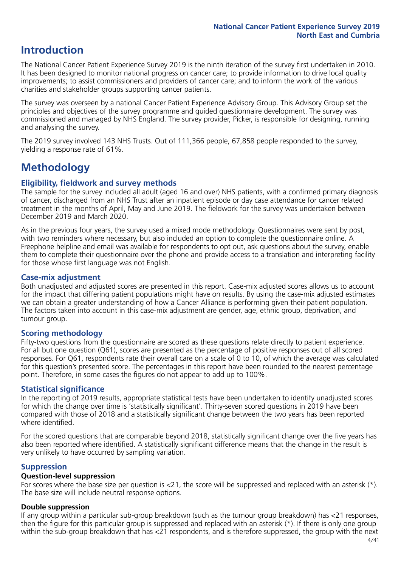### **Introduction**

The National Cancer Patient Experience Survey 2019 is the ninth iteration of the survey first undertaken in 2010. It has been designed to monitor national progress on cancer care; to provide information to drive local quality improvements; to assist commissioners and providers of cancer care; and to inform the work of the various charities and stakeholder groups supporting cancer patients.

The survey was overseen by a national Cancer Patient Experience Advisory Group. This Advisory Group set the principles and objectives of the survey programme and guided questionnaire development. The survey was commissioned and managed by NHS England. The survey provider, Picker, is responsible for designing, running and analysing the survey.

The 2019 survey involved 143 NHS Trusts. Out of 111,366 people, 67,858 people responded to the survey, yielding a response rate of 61%.

### **Methodology**

#### **Eligibility, fieldwork and survey methods**

The sample for the survey included all adult (aged 16 and over) NHS patients, with a confirmed primary diagnosis of cancer, discharged from an NHS Trust after an inpatient episode or day case attendance for cancer related treatment in the months of April, May and June 2019. The fieldwork for the survey was undertaken between December 2019 and March 2020.

As in the previous four years, the survey used a mixed mode methodology. Questionnaires were sent by post, with two reminders where necessary, but also included an option to complete the questionnaire online. A Freephone helpline and email was available for respondents to opt out, ask questions about the survey, enable them to complete their questionnaire over the phone and provide access to a translation and interpreting facility for those whose first language was not English.

#### **Case-mix adjustment**

Both unadjusted and adjusted scores are presented in this report. Case-mix adjusted scores allows us to account for the impact that differing patient populations might have on results. By using the case-mix adjusted estimates we can obtain a greater understanding of how a Cancer Alliance is performing given their patient population. The factors taken into account in this case-mix adjustment are gender, age, ethnic group, deprivation, and tumour group.

#### **Scoring methodology**

Fifty-two questions from the questionnaire are scored as these questions relate directly to patient experience. For all but one question (Q61), scores are presented as the percentage of positive responses out of all scored responses. For Q61, respondents rate their overall care on a scale of 0 to 10, of which the average was calculated for this question's presented score. The percentages in this report have been rounded to the nearest percentage point. Therefore, in some cases the figures do not appear to add up to 100%.

#### **Statistical significance**

In the reporting of 2019 results, appropriate statistical tests have been undertaken to identify unadjusted scores for which the change over time is 'statistically significant'. Thirty-seven scored questions in 2019 have been compared with those of 2018 and a statistically significant change between the two years has been reported where identified.

For the scored questions that are comparable beyond 2018, statistically significant change over the five years has also been reported where identified. A statistically significant difference means that the change in the result is very unlikely to have occurred by sampling variation.

### **Suppression**

#### **Question-level suppression**

For scores where the base size per question is  $<$ 21, the score will be suppressed and replaced with an asterisk (\*). The base size will include neutral response options.

#### **Double suppression**

If any group within a particular sub-group breakdown (such as the tumour group breakdown) has <21 responses, then the figure for this particular group is suppressed and replaced with an asterisk (\*). If there is only one group within the sub-group breakdown that has <21 respondents, and is therefore suppressed, the group with the next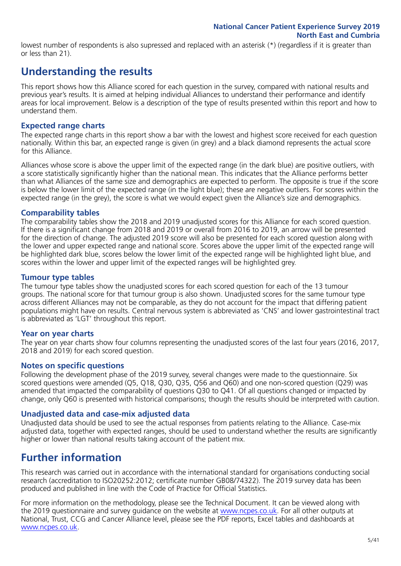lowest number of respondents is also supressed and replaced with an asterisk (\*) (regardless if it is greater than or less than 21).

### **Understanding the results**

This report shows how this Alliance scored for each question in the survey, compared with national results and previous year's results. It is aimed at helping individual Alliances to understand their performance and identify areas for local improvement. Below is a description of the type of results presented within this report and how to understand them.

#### **Expected range charts**

The expected range charts in this report show a bar with the lowest and highest score received for each question nationally. Within this bar, an expected range is given (in grey) and a black diamond represents the actual score for this Alliance.

Alliances whose score is above the upper limit of the expected range (in the dark blue) are positive outliers, with a score statistically significantly higher than the national mean. This indicates that the Alliance performs better than what Alliances of the same size and demographics are expected to perform. The opposite is true if the score is below the lower limit of the expected range (in the light blue); these are negative outliers. For scores within the expected range (in the grey), the score is what we would expect given the Alliance's size and demographics.

#### **Comparability tables**

The comparability tables show the 2018 and 2019 unadjusted scores for this Alliance for each scored question. If there is a significant change from 2018 and 2019 or overall from 2016 to 2019, an arrow will be presented for the direction of change. The adjusted 2019 score will also be presented for each scored question along with the lower and upper expected range and national score. Scores above the upper limit of the expected range will be highlighted dark blue, scores below the lower limit of the expected range will be highlighted light blue, and scores within the lower and upper limit of the expected ranges will be highlighted grey.

#### **Tumour type tables**

The tumour type tables show the unadjusted scores for each scored question for each of the 13 tumour groups. The national score for that tumour group is also shown. Unadjusted scores for the same tumour type across different Alliances may not be comparable, as they do not account for the impact that differing patient populations might have on results. Central nervous system is abbreviated as 'CNS' and lower gastrointestinal tract is abbreviated as 'LGT' throughout this report.

#### **Year on year charts**

The year on year charts show four columns representing the unadjusted scores of the last four years (2016, 2017, 2018 and 2019) for each scored question.

#### **Notes on specific questions**

Following the development phase of the 2019 survey, several changes were made to the questionnaire. Six scored questions were amended (Q5, Q18, Q30, Q35, Q56 and Q60) and one non-scored question (Q29) was amended that impacted the comparability of questions Q30 to Q41. Of all questions changed or impacted by change, only Q60 is presented with historical comparisons; though the results should be interpreted with caution.

#### **Unadjusted data and case-mix adjusted data**

Unadjusted data should be used to see the actual responses from patients relating to the Alliance. Case-mix adjusted data, together with expected ranges, should be used to understand whether the results are significantly higher or lower than national results taking account of the patient mix.

### **Further information**

This research was carried out in accordance with the international standard for organisations conducting social research (accreditation to ISO20252:2012; certificate number GB08/74322). The 2019 survey data has been produced and published in line with the Code of Practice for Official Statistics.

For more information on the methodology, please see the Technical Document. It can be viewed along with the 2019 questionnaire and survey guidance on the website at [www.ncpes.co.uk](https://www.ncpes.co.uk/supporting-documents). For all other outputs at National, Trust, CCG and Cancer Alliance level, please see the PDF reports, Excel tables and dashboards at [www.ncpes.co.uk.](https://www.ncpes.co.uk/current-results)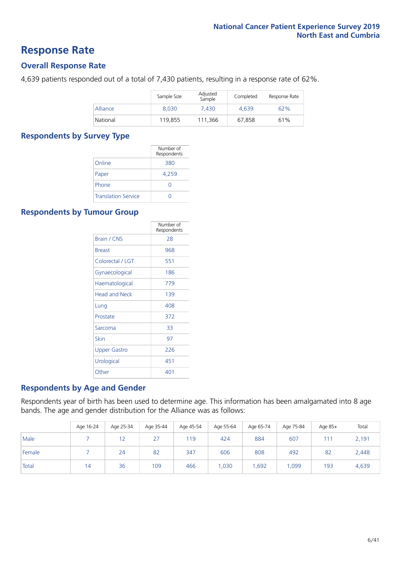### **Response Rate**

#### **Overall Response Rate**

4,639 patients responded out of a total of 7,430 patients, resulting in a response rate of 62%.

|          | Sample Size | Adjusted<br>Sample | Completed | Response Rate |
|----------|-------------|--------------------|-----------|---------------|
| Alliance | 8.030       | 7.430              | 4.639     | 62%           |
| National | 119,855     | 111.366            | 67.858    | 61%           |

#### **Respondents by Survey Type**

|                            | Number of<br>Respondents |
|----------------------------|--------------------------|
| Online                     | 380                      |
| Paper                      | 4,259                    |
| Phone                      | O                        |
| <b>Translation Service</b> |                          |

#### **Respondents by Tumour Group**

|                      | Number of<br>Respondents |
|----------------------|--------------------------|
| <b>Brain / CNS</b>   | 28                       |
| <b>Breast</b>        | 968                      |
| Colorectal / LGT     | 551                      |
| Gynaecological       | 186                      |
| Haematological       | 779                      |
| <b>Head and Neck</b> | 139                      |
| Lung                 | 408                      |
| Prostate             | 372                      |
| Sarcoma              | 33                       |
| Skin                 | 97                       |
| Upper Gastro         | 226                      |
| Urological           | 451                      |
| Other                | 401                      |

#### **Respondents by Age and Gender**

Respondents year of birth has been used to determine age. This information has been amalgamated into 8 age bands. The age and gender distribution for the Alliance was as follows:

|        | Age 16-24 | Age 25-34 | Age 35-44 | Age 45-54 | Age 55-64 | Age 65-74 |       | Age $85+$ | Total |
|--------|-----------|-----------|-----------|-----------|-----------|-----------|-------|-----------|-------|
| Male   |           | 12        | 27        | 119       | 424       | 884       | 607   | 111       | 2,191 |
| Female |           | 24        | 82        | 347       | 606       | 808       | 492   | 82        | 2,448 |
| Total  | 14        | 36        | 109       | 466       | 1,030     | .692      | 1,099 | 193       | 4,639 |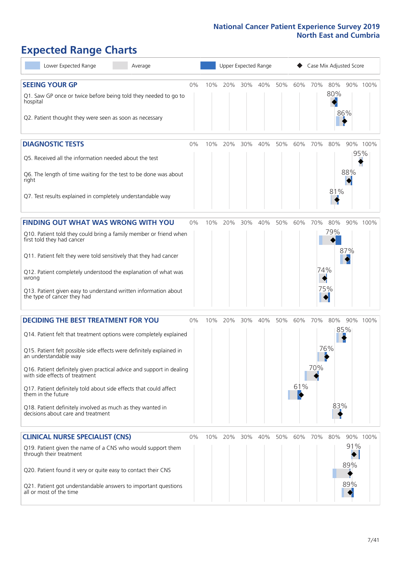# **Expected Range Charts**

| Lower Expected Range<br>Average                                                                         |       | Upper Expected Range<br>Case Mix Adjusted Score |     |     |     |     |     |     |     |     |          |
|---------------------------------------------------------------------------------------------------------|-------|-------------------------------------------------|-----|-----|-----|-----|-----|-----|-----|-----|----------|
| <b>SEEING YOUR GP</b>                                                                                   | 0%    | 10%                                             | 20% | 30% | 40% | 50% | 60% | 70% | 80% |     | 90% 100% |
| Q1. Saw GP once or twice before being told they needed to go to<br>hospital                             |       |                                                 |     |     |     |     |     |     | 80% |     |          |
| Q2. Patient thought they were seen as soon as necessary                                                 |       |                                                 |     |     |     |     |     |     |     | 86% |          |
| <b>DIAGNOSTIC TESTS</b>                                                                                 | 0%    | 10%                                             | 20% | 30% | 40% | 50% | 60% | 70% | 80% |     | 90% 100% |
| Q5. Received all the information needed about the test                                                  |       |                                                 |     |     |     |     |     |     |     |     | 95%      |
| Q6. The length of time waiting for the test to be done was about<br>right                               |       |                                                 |     |     |     |     |     |     |     | 88% |          |
| Q7. Test results explained in completely understandable way                                             |       |                                                 |     |     |     |     |     |     | 81% |     |          |
| <b>FINDING OUT WHAT WAS WRONG WITH YOU</b>                                                              | 0%    | 10%                                             | 20% | 30% | 40% | 50% | 60% | 70% | 80% |     | 90% 100% |
| Q10. Patient told they could bring a family member or friend when<br>first told they had cancer         |       |                                                 |     |     |     |     |     |     | 79% |     |          |
| Q11. Patient felt they were told sensitively that they had cancer                                       |       |                                                 |     |     |     |     |     |     |     | 87% |          |
| Q12. Patient completely understood the explanation of what was<br>wrong                                 |       |                                                 |     |     |     |     |     | 74% |     |     |          |
| Q13. Patient given easy to understand written information about<br>the type of cancer they had          |       |                                                 |     |     |     |     |     |     | 75% |     |          |
| <b>DECIDING THE BEST TREATMENT FOR YOU</b>                                                              | 0%    | 10%                                             | 20% | 30% | 40% | 50% | 60% | 70% | 80% |     | 90% 100% |
| Q14. Patient felt that treatment options were completely explained                                      |       |                                                 |     |     |     |     |     |     |     | 85% |          |
| Q15. Patient felt possible side effects were definitely explained in<br>an understandable way           |       |                                                 |     |     |     |     |     |     | 76% |     |          |
| Q16. Patient definitely given practical advice and support in dealing<br>with side effects of treatment |       |                                                 |     |     |     |     |     | 70% |     |     |          |
| Q17. Patient definitely told about side effects that could affect<br>them in the future                 |       |                                                 |     |     |     |     | 61% |     |     |     |          |
| Q18. Patient definitely involved as much as they wanted in<br>decisions about care and treatment        |       |                                                 |     |     |     |     |     |     | 83% |     |          |
| <b>CLINICAL NURSE SPECIALIST (CNS)</b>                                                                  | $0\%$ | 10%                                             | 20% | 30% | 40% | 50% | 60% | 70% | 80% |     | 90% 100% |
| Q19. Patient given the name of a CNS who would support them<br>through their treatment                  |       |                                                 |     |     |     |     |     |     |     | 91% |          |
| Q20. Patient found it very or quite easy to contact their CNS                                           |       |                                                 |     |     |     |     |     |     |     | 89% |          |
| Q21. Patient got understandable answers to important questions<br>all or most of the time               |       |                                                 |     |     |     |     |     |     |     | 89% |          |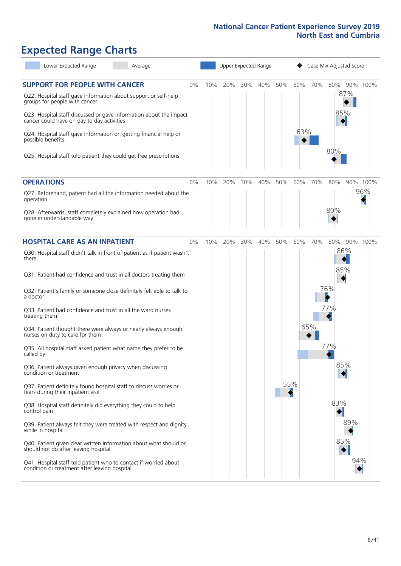# **Expected Range Charts**

| Lower Expected Range<br>Average                                                                                                                                                                                       |     | Upper Expected Range |     |     |     |     |     | Case Mix Adjusted Score |          |
|-----------------------------------------------------------------------------------------------------------------------------------------------------------------------------------------------------------------------|-----|----------------------|-----|-----|-----|-----|-----|-------------------------|----------|
| <b>SUPPORT FOR PEOPLE WITH CANCER</b><br>0%<br>Q22. Hospital staff gave information about support or self-help<br>groups for people with cancer<br>Q23. Hospital staff discussed or gave information about the impact | 10% | 20%                  | 30% | 40% | 50% | 60% | 70% | 80%<br>87%<br>85%       | 90% 100% |
| cancer could have on day to day activities<br>Q24. Hospital staff gave information on getting financial help or<br>possible benefits<br>Q25. Hospital staff told patient they could get free prescriptions            |     |                      |     |     |     | 63% |     | 80%                     |          |
| <b>OPERATIONS</b><br>0%                                                                                                                                                                                               | 10% | 20%                  | 30% | 40% | 50% | 60% | 70% | 80%                     | 90% 100% |
| Q27. Beforehand, patient had all the information needed about the<br>operation                                                                                                                                        |     |                      |     |     |     |     |     |                         | 96%      |
| Q28. Afterwards, staff completely explained how operation had<br>gone in understandable way                                                                                                                           |     |                      |     |     |     |     |     | 80%                     |          |
| <b>HOSPITAL CARE AS AN INPATIENT</b><br>0%                                                                                                                                                                            | 10% | 20%                  | 30% | 40% | 50% | 60% | 70% | 80%                     | 90% 100% |
| Q30. Hospital staff didn't talk in front of patient as if patient wasn't<br>there                                                                                                                                     |     |                      |     |     |     |     |     | 86%                     |          |
| Q31. Patient had confidence and trust in all doctors treating them                                                                                                                                                    |     |                      |     |     |     |     |     | 85%                     |          |
| Q32. Patient's family or someone close definitely felt able to talk to<br>a doctor                                                                                                                                    |     |                      |     |     |     |     |     | 76%                     |          |
| Q33. Patient had confidence and trust in all the ward nurses<br>treating them                                                                                                                                         |     |                      |     |     |     |     |     | 77%                     |          |
| Q34. Patient thought there were always or nearly always enough<br>nurses on duty to care for them                                                                                                                     |     |                      |     |     |     |     | 65% |                         |          |
| Q35. All hospital staff asked patient what name they prefer to be<br>called by                                                                                                                                        |     |                      |     |     |     |     |     | 77%                     |          |
| Q36. Patient always given enough privacy when discussing<br>condition or treatment                                                                                                                                    |     |                      |     |     |     |     |     | 85%                     |          |
| Q37. Patient definitely found hospital staff to discuss worries or<br>fears during their inpatient visit                                                                                                              |     |                      |     |     |     | 55% |     |                         |          |
| Q38. Hospital staff definitely did everything they could to help<br>control pain                                                                                                                                      |     |                      |     |     |     |     |     | 83%                     |          |
| Q39. Patient always felt they were treated with respect and dignity<br>while in hospital                                                                                                                              |     |                      |     |     |     |     |     | 89%                     |          |
| Q40. Patient given clear written information about what should or<br>should not do after leaving hospital                                                                                                             |     |                      |     |     |     |     |     | 85%                     |          |
| Q41. Hospital staff told patient who to contact if worried about<br>condition or treatment after leaving hospital                                                                                                     |     |                      |     |     |     |     |     |                         | 94%      |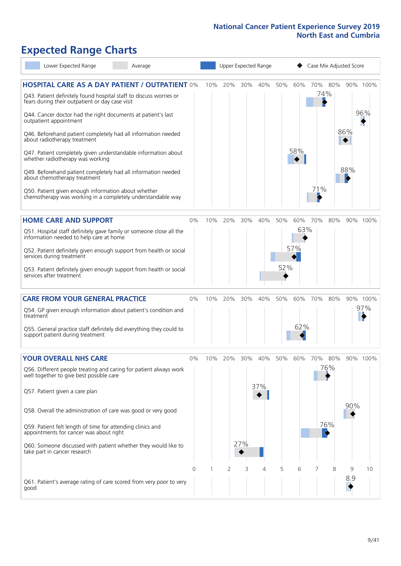# **Expected Range Charts**

| Lower Expected Range                                                                                                  | Average |    | Upper Expected Range<br>Case Mix Adjusted Score |     |     |     |     |     |                      |     |     |          |
|-----------------------------------------------------------------------------------------------------------------------|---------|----|-------------------------------------------------|-----|-----|-----|-----|-----|----------------------|-----|-----|----------|
| <b>HOSPITAL CARE AS A DAY PATIENT / OUTPATIENT 0%</b>                                                                 |         |    | 10%                                             | 20% | 30% | 40% | 50% | 60% | 70% 80%              |     |     | 90% 100% |
| Q43. Patient definitely found hospital staff to discuss worries or<br>fears during their outpatient or day case visit |         |    |                                                 |     |     |     |     |     | 74%                  |     |     |          |
| Q44. Cancer doctor had the right documents at patient's last<br>outpatient appointment                                |         |    |                                                 |     |     |     |     |     |                      |     |     | 96%      |
| Q46. Beforehand patient completely had all information needed<br>about radiotherapy treatment                         |         |    |                                                 |     |     |     |     |     |                      |     | 86% |          |
| Q47. Patient completely given understandable information about<br>whether radiotherapy was working                    |         |    |                                                 |     |     |     |     | 58% |                      |     |     |          |
| Q49. Beforehand patient completely had all information needed<br>about chemotherapy treatment                         |         |    |                                                 |     |     |     |     |     |                      |     | 88% |          |
| Q50. Patient given enough information about whether<br>chemotherapy was working in a completely understandable way    |         |    |                                                 |     |     |     |     |     | 71%                  |     |     |          |
| <b>HOME CARE AND SUPPORT</b>                                                                                          |         | 0% | 10%                                             | 20% | 30% | 40% | 50% | 60% | 70%                  | 80% |     | 90% 100% |
| Q51. Hospital staff definitely gave family or someone close all the<br>information needed to help care at home        |         |    |                                                 |     |     |     |     | 63% |                      |     |     |          |
| Q52. Patient definitely given enough support from health or social<br>services during treatment                       |         |    |                                                 |     |     |     |     | 57% |                      |     |     |          |
| Q53. Patient definitely given enough support from health or social<br>services after treatment                        |         |    |                                                 |     |     |     | 52% |     |                      |     |     |          |
| <b>CARE FROM YOUR GENERAL PRACTICE</b>                                                                                |         | 0% | 10%                                             | 20% | 30% | 40% | 50% | 60% | 70%                  | 80% |     | 90% 100% |
| Q54. GP given enough information about patient's condition and<br>treatment                                           |         |    |                                                 |     |     |     |     |     |                      |     |     | 97%      |
| Q55. General practice staff definitely did everything they could to<br>support patient during treatment               |         |    |                                                 |     |     |     |     | 62% |                      |     |     |          |
| <b>YOUR OVERALL NHS CARE</b>                                                                                          |         | 0% | 10%                                             | 20% | 30% | 40% | 50% | 60% | 70%                  | 80% |     | 90% 100% |
| Q56. Different people treating and caring for patient always work<br>well together to give best possible care         |         |    |                                                 |     |     |     |     |     |                      | 76% |     |          |
|                                                                                                                       |         |    |                                                 |     |     | 37% |     |     |                      |     |     |          |
| Q57. Patient given a care plan                                                                                        |         |    |                                                 |     |     |     |     |     |                      |     |     |          |
| Q58. Overall the administration of care was good or very good                                                         |         |    |                                                 |     |     |     |     |     |                      |     | 90% |          |
| Q59. Patient felt length of time for attending clinics and<br>appointments for cancer was about right                 |         |    |                                                 |     |     |     |     |     | $\blacktriangleleft$ | 76% |     |          |
| Q60. Someone discussed with patient whether they would like to<br>take part in cancer research                        |         |    |                                                 |     | 27% |     |     |     |                      |     |     |          |
|                                                                                                                       |         | 0  |                                                 | 2   | 3   | 4   | 5   | 6   |                      | 8   | 9   | 10       |
| Q61. Patient's average rating of care scored from very poor to very<br>good                                           |         |    |                                                 |     |     |     |     |     |                      |     | 8.9 |          |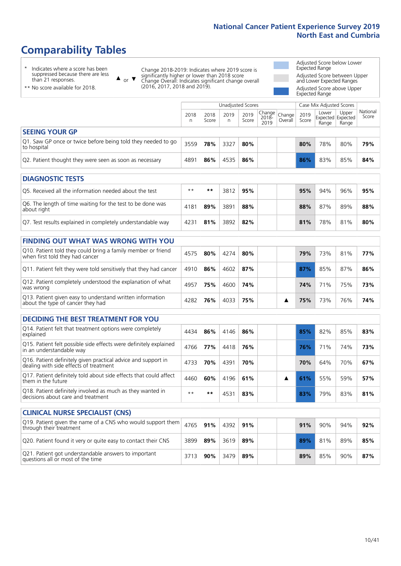# **Comparability Tables**

\* Indicates where a score has been suppressed because there are less than 21 responses.

\*\* No score available for 2018.

 $\triangle$  or  $\nabla$ 

Change 2018-2019: Indicates where 2019 score is significantly higher or lower than 2018 score Change Overall: Indicates significant change overall (2016, 2017, 2018 and 2019).

Adjusted Score below Lower Expected Range Adjusted Score between Upper and Lower Expected Ranges Adjusted Score above Upper Expected Range

|                                                                             | Unadjusted Scores |               |           |               |                                                    |         |               | Case Mix Adjusted Scores |                                     |                   |
|-----------------------------------------------------------------------------|-------------------|---------------|-----------|---------------|----------------------------------------------------|---------|---------------|--------------------------|-------------------------------------|-------------------|
|                                                                             | 2018<br>n         | 2018<br>Score | 2019<br>n | 2019<br>Score | $\sim$   Change   Change   $\sim$<br>2018-<br>2019 | Overall | 2019<br>Score | Lower<br>Range           | Upper<br>Expected Expected<br>Range | National<br>Score |
| <b>SEEING YOUR GP</b>                                                       |                   |               |           |               |                                                    |         |               |                          |                                     |                   |
| Q1. Saw GP once or twice before being told they needed to go<br>to hospital | 3559              | 78%           | 3327      | 80%           |                                                    |         | 80%           | 78%                      | 80%                                 | 79%               |
| Q2. Patient thought they were seen as soon as necessary                     | 4891              | 86%           | 4535      | 86%           |                                                    |         | 86%           | 83%                      | 85%                                 | 84%               |

| <b>DIAGNOSTIC TESTS</b>                                                   |       |     |      |     |  |  |     |     |     |     |  |
|---------------------------------------------------------------------------|-------|-----|------|-----|--|--|-----|-----|-----|-----|--|
| O5. Received all the information needed about the test                    | $***$ | **  | 3812 | 95% |  |  | 95% | 94% | 96% | 95% |  |
| Q6. The length of time waiting for the test to be done was<br>about right | 4181  | 89% | 3891 | 88% |  |  | 88% | 87% | 89% | 88% |  |
| Q7. Test results explained in completely understandable way               | 4231  | 81% | 3892 | 82% |  |  | 81% | 78% | 81% | 80% |  |

|  |  | <b>FINDING OUT WHAT WAS WRONG WITH YOU</b> |  |  |
|--|--|--------------------------------------------|--|--|
|  |  |                                            |  |  |

| Q10. Patient told they could bring a family member or friend<br>when first told they had cancer | 4575 | 80% | 4274 | 80% |  | 79% | 73%             | 81% | 77% |
|-------------------------------------------------------------------------------------------------|------|-----|------|-----|--|-----|-----------------|-----|-----|
| Q11. Patient felt they were told sensitively that they had cancer                               | 4910 | 86% | 4602 | 87% |  | 87% | 85%             | 87% | 86% |
| Q12. Patient completely understood the explanation of what<br>was wrong                         | 4957 | 75% | 4600 | 74% |  | 74% | 71 <sup>%</sup> | 75% | 73% |
| Q13. Patient given easy to understand written information<br>about the type of cancer they had  | 4282 | 76% | 4033 | 75% |  | 75% | 73%             | 76% | 74% |

|  | <b>DECIDING THE BEST TREATMENT FOR YOU</b> |  |
|--|--------------------------------------------|--|
|--|--------------------------------------------|--|

| Q14. Patient felt that treatment options were completely<br>explained                                   | 4434 | 86% | 4146 | 86% |  | 85% | 82% | 85% | 83% |
|---------------------------------------------------------------------------------------------------------|------|-----|------|-----|--|-----|-----|-----|-----|
| Q15. Patient felt possible side effects were definitely explained<br>in an understandable way           | 4766 | 77% | 4418 | 76% |  | 76% | 71% | 74% | 73% |
| Q16. Patient definitely given practical advice and support in<br>dealing with side effects of treatment | 4733 | 70% | 4391 | 70% |  | 70% | 64% | 70% | 67% |
| Q17. Patient definitely told about side effects that could affect<br>them in the future                 | 4460 | 60% | 4196 | 61% |  | 61% | 55% | 59% | 57% |
| Q18. Patient definitely involved as much as they wanted in<br>decisions about care and treatment        | $**$ | **  | 4531 | 83% |  | 83% | 79% | 83% | 81% |

| <b>CLINICAL NURSE SPECIALIST (CNS)</b>                                                                          |      |     |      |     |  |     |     |     |     |
|-----------------------------------------------------------------------------------------------------------------|------|-----|------|-----|--|-----|-----|-----|-----|
| Q19. Patient given the name of a CNS who would support them $\vert$ 4765 $\vert$ 91%<br>through their treatment |      |     | 4392 | 91% |  | 91% | 90% | 94% | 92% |
| Q20. Patient found it very or quite easy to contact their CNS                                                   | 3899 | 89% | 3619 | 89% |  | 89% | 81% | 89% | 85% |
| Q21. Patient got understandable answers to important<br>questions all or most of the time                       |      | 90% | 3479 | 89% |  | 89% | 85% | 90% | 87% |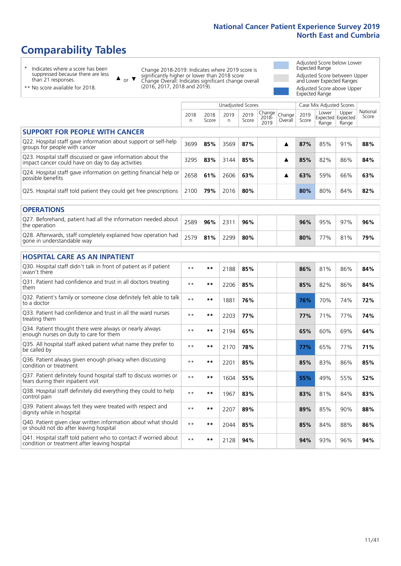# **Comparability Tables**

\* Indicates where a score has been suppressed because there are less than 21 responses.

\*\* No score available for 2018.

 $\triangle$  or  $\nabla$ 

Change 2018-2019: Indicates where 2019 score is significantly higher or lower than 2018 score Change Overall: Indicates significant change overall (2016, 2017, 2018 and 2019).

Adjusted Score below Lower Expected Range Adjusted Score between Upper and Lower Expected Ranges Adjusted Score above Upper Expected Range

|                                                                                                                   | <b>Unadjusted Scores</b> |               |            |               |                         |                   | Case Mix Adjusted Scores |                |                                     |                   |
|-------------------------------------------------------------------------------------------------------------------|--------------------------|---------------|------------|---------------|-------------------------|-------------------|--------------------------|----------------|-------------------------------------|-------------------|
|                                                                                                                   | 2018<br>n                | 2018<br>Score | 2019<br>n. | 2019<br>Score | Change<br>2018-<br>2019 | Change<br>Overall | 2019<br>Score            | Lower<br>Range | Upper<br>Expected Expected<br>Range | National<br>Score |
| <b>SUPPORT FOR PEOPLE WITH CANCER</b>                                                                             |                          |               |            |               |                         |                   |                          |                |                                     |                   |
| Q22. Hospital staff gave information about support or self-help<br>groups for people with cancer                  | 3699                     | 85%           | 3569       | 87%           |                         | ▲                 | 87%                      | 85%            | 91%                                 | 88%               |
| Q23. Hospital staff discussed or gave information about the<br>impact cancer could have on day to day activities  | 3295                     | 83%           | 3144       | 85%           |                         | ▲                 | 85%                      | 82%            | 86%                                 | 84%               |
| Q24. Hospital staff gave information on getting financial help or<br>possible benefits                            | 2658                     | 61%           | 2606       | 63%           |                         | ▲                 | 63%                      | 59%            | 66%                                 | 63%               |
| Q25. Hospital staff told patient they could get free prescriptions                                                | 2100                     | 79%           | 2016       | 80%           |                         |                   | 80%                      | 80%            | 84%                                 | 82%               |
| <b>OPERATIONS</b>                                                                                                 |                          |               |            |               |                         |                   |                          |                |                                     |                   |
| Q27. Beforehand, patient had all the information needed about<br>the operation                                    | 2589                     | 96%           | 2311       | 96%           |                         |                   | 96%                      | 95%            | 97%                                 | 96%               |
| Q28. Afterwards, staff completely explained how operation had<br>gone in understandable way                       | 2579                     | 81%           | 2299       | 80%           |                         |                   | 80%                      | 77%            | 81%                                 | 79%               |
| <b>HOSPITAL CARE AS AN INPATIENT</b>                                                                              |                          |               |            |               |                         |                   |                          |                |                                     |                   |
| Q30. Hospital staff didn't talk in front of patient as if patient<br>wasn't there                                 | $* *$                    | **            | 2188       | 85%           |                         |                   | 86%                      | 81%            | 86%                                 | 84%               |
| Q31. Patient had confidence and trust in all doctors treating<br>them                                             | $* *$                    | **            | 2206       | 85%           |                         |                   | 85%                      | 82%            | 86%                                 | 84%               |
| Q32. Patient's family or someone close definitely felt able to talk<br>to a doctor                                | $* *$                    | **            | 1881       | 76%           |                         |                   | 76%                      | 70%            | 74%                                 | 72%               |
| Q33. Patient had confidence and trust in all the ward nurses<br>treating them                                     | $* *$                    | **            | 2203       | 77%           |                         |                   | 77%                      | 71%            | 77%                                 | 74%               |
| Q34. Patient thought there were always or nearly always<br>enough nurses on duty to care for them                 | $* *$                    | **            | 2194       | 65%           |                         |                   | 65%                      | 60%            | 69%                                 | 64%               |
| Q35. All hospital staff asked patient what name they prefer to<br>be called by                                    | $* *$                    | **            | 2170       | 78%           |                         |                   | 77%                      | 65%            | 77%                                 | 71%               |
| Q36. Patient always given enough privacy when discussing<br>condition or treatment                                | $* *$                    | **            | 2201       | 85%           |                         |                   | 85%                      | 83%            | 86%                                 | 85%               |
| Q37. Patient definitely found hospital staff to discuss worries or<br>fears during their inpatient visit          | $* *$                    | **            | 1604       | 55%           |                         |                   | 55%                      | 49%            | 55%                                 | 52%               |
| Q38. Hospital staff definitely did everything they could to help<br>control pain                                  | $* *$                    | $***$         | 1967       | 83%           |                         |                   | 83%                      | 81%            | 84%                                 | 83%               |
| Q39. Patient always felt they were treated with respect and<br>dignity while in hospital                          | $***$                    | **            | 2207       | 89%           |                         |                   | 89%                      | 85%            | 90%                                 | 88%               |
| Q40. Patient given clear written information about what should<br>or should not do after leaving hospital         | $* *$                    | **            | 2044       | 85%           |                         |                   | 85%                      | 84%            | 88%                                 | 86%               |
| Q41. Hospital staff told patient who to contact if worried about<br>condition or treatment after leaving hospital | $**$                     | **            | 2128       | 94%           |                         |                   | 94%                      | 93%            | 96%                                 | 94%               |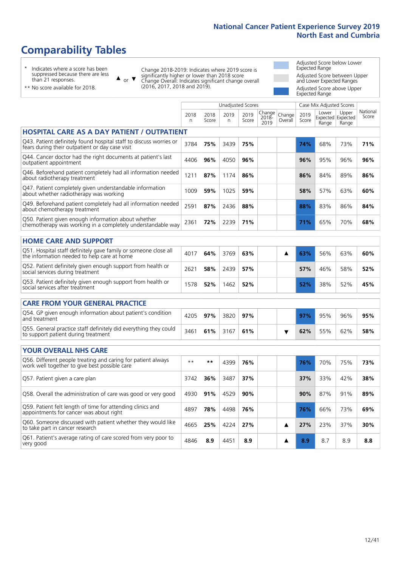# **Comparability Tables**

\* Indicates where a score has been suppressed because there are less than 21 responses.

\*\* No score available for 2018.

or  $\blacktriangledown$  $\blacktriangle$ 

Change 2018-2019: Indicates where 2019 score is significantly higher or lower than 2018 score Change Overall: Indicates significant change overall (2016, 2017, 2018 and 2019).

Adjusted Score below Lower Expected Range Adjusted Score between Upper and Lower Expected Ranges Adjusted Score above Upper Expected Range

|                                                                                                                       |           |               | Unadjusted Scores |               |                         |                   |                 | Case Mix Adjusted Scores |                                     |                 |
|-----------------------------------------------------------------------------------------------------------------------|-----------|---------------|-------------------|---------------|-------------------------|-------------------|-----------------|--------------------------|-------------------------------------|-----------------|
|                                                                                                                       | 2018<br>n | 2018<br>Score | 2019<br>n         | 2019<br>Score | Change<br>2018-<br>2019 | Change<br>Overall | 2019<br>Score   | Lower<br>Range           | Upper<br>Expected Expected<br>Range | Nation<br>Score |
| HOSPITAL CARE AS A DAY PATIENT / OUTPATIENT                                                                           |           |               |                   |               |                         |                   |                 |                          |                                     |                 |
| Q43. Patient definitely found hospital staff to discuss worries or<br>fears during their outpatient or day case visit | 3784      | 75%           | 3439              | 75%           |                         |                   | 74%             | 68%                      | 73%                                 | 71%             |
| Q44. Cancer doctor had the right documents at patient's last<br>outpatient appointment                                | 4406      | 96%           | 4050              | 96%           |                         |                   | 96%             | 95%                      | 96%                                 | 96%             |
| Q46. Beforehand patient completely had all information needed<br>about radiotherapy treatment                         | 1211      | 87%           | 1174              | 86%           |                         |                   | 86%             | 84%                      | 89%                                 | 86%             |
| Q47. Patient completely given understandable information<br>about whether radiotherapy was working                    | 1009      | 59%           | 1025              | 59%           |                         |                   | 58%             | 57%                      | 63%                                 | 60%             |
| Q49. Beforehand patient completely had all information needed<br>about chemotherapy treatment                         | 2591      | 87%           | 2436              | 88%           |                         |                   | 88%             | 83%                      | 86%                                 | 84%             |
| Q50. Patient given enough information about whether<br>chemotherapy was working in a completely understandable way    | 2361      | 72%           | 2239              | 71%           |                         |                   | 71%             | 65%                      | 70%                                 | 68%             |
| <b>HOME CARE AND SUPPORT</b>                                                                                          |           |               |                   |               |                         |                   |                 |                          |                                     |                 |
| Q51. Hospital staff definitely gave family or someone close all                                                       | 1017      | CAO           | 27CO              | CDO           |                         |                   | $C \supseteq 0$ | FCON                     | $C \supset 0$                       | 0.001           |

| Q51. Hospital staff definitely gave family or someone close all<br>the information needed to help care at home | 4017 | 64% | 3769     | 63% |  | 63% | 56% | 63% | 60% |
|----------------------------------------------------------------------------------------------------------------|------|-----|----------|-----|--|-----|-----|-----|-----|
| Q52. Patient definitely given enough support from health or<br>social services during treatment                | 2621 | 58% | 2439 57% |     |  | 57% | 46% | 58% | 52% |
| Q53. Patient definitely given enough support from health or<br>social services after treatment                 | 1578 | 52% | 1462     | 52% |  | 52% | 38% | 52% | 45% |

| <b>CARE FROM YOUR GENERAL PRACTICE</b>                                                                  |      |     |          |     |  |     |     |     |     |
|---------------------------------------------------------------------------------------------------------|------|-----|----------|-----|--|-----|-----|-----|-----|
| Q54. GP given enough information about patient's condition<br>and treatment                             | 4205 | 97% | 3820     | 97% |  | 97% | 95% | 96% | 95% |
| Q55. General practice staff definitely did everything they could<br>to support patient during treatment | 3461 | 61% | 3167 61% |     |  | 62% | 55% | 62% | 58% |

| <b>YOUR OVERALL NHS CARE</b>                                                                                  |      |       |      |     |  |     |     |     |     |
|---------------------------------------------------------------------------------------------------------------|------|-------|------|-----|--|-----|-----|-----|-----|
| Q56. Different people treating and caring for patient always<br>work well together to give best possible care | $**$ | $* *$ | 4399 | 76% |  | 76% | 70% | 75% | 73% |
| Q57. Patient given a care plan                                                                                | 3742 | 36%   | 3487 | 37% |  | 37% | 33% | 42% | 38% |
| Q58. Overall the administration of care was good or very good                                                 | 4930 | 91%   | 4529 | 90% |  | 90% | 87% | 91% | 89% |
| Q59. Patient felt length of time for attending clinics and<br>appointments for cancer was about right         | 4897 | 78%   | 4498 | 76% |  | 76% | 66% | 73% | 69% |
| Q60. Someone discussed with patient whether they would like<br>to take part in cancer research                | 4665 | 25%   | 4224 | 27% |  | 27% | 23% | 37% | 30% |
| Q61. Patient's average rating of care scored from very poor to<br>very good                                   | 4846 | 8.9   | 4451 | 8.9 |  | 8.9 | 8.7 | 8.9 | 8.8 |

National Score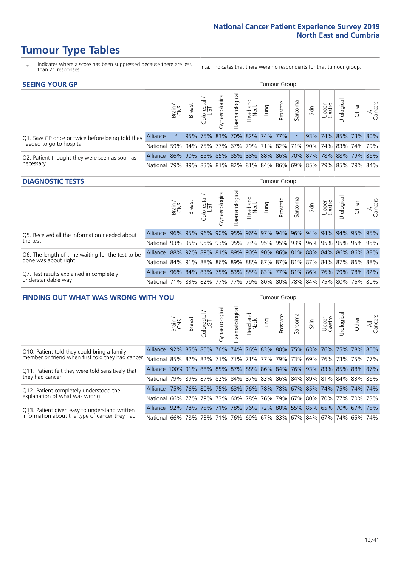# **Tumour Type Tables**

- \* Indicates where a score has been suppressed because there are less than 21 responses.
- n.a. Indicates that there were no respondents for that tumour group.

| <b>SEEING YOUR GP</b>                           |                 |              |               |                                       |                    |                |                  |      | Tumour Group                |         |                                                     |                 |                     |       |                |
|-------------------------------------------------|-----------------|--------------|---------------|---------------------------------------|--------------------|----------------|------------------|------|-----------------------------|---------|-----------------------------------------------------|-----------------|---------------------|-------|----------------|
|                                                 |                 | Brain<br>CNS | <b>Breast</b> | $\frac{\text{Coloretal}}{\text{LGT}}$ | ᠊ᢛ<br>Gynaecologic | Haematological | Head and<br>Neck | pung | Prostate                    | Sarcoma | Skin                                                | Upper<br>Gastro | Jrological          | Other | All<br>Cancers |
| Q1. Saw GP once or twice before being told they | Alliance        |              |               |                                       |                    |                |                  |      | 95% 75% 83% 70% 82% 74% 77% |         |                                                     |                 | 93% 74% 85% 73% 80% |       |                |
| needed to go to hospital                        | <b>National</b> | 59%          |               |                                       |                    |                |                  |      |                             |         | 94% 75% 77% 67% 79% 71% 82% 71% 90% 74% 83% 74% 79% |                 |                     |       |                |
| Q2. Patient thought they were seen as soon as   | <b>Alliance</b> | 86%          |               |                                       |                    |                |                  |      |                             |         | 90% 85% 85% 85% 88% 88% 86% 70% 87% 78% 88% 79% 86% |                 |                     |       |                |
| necessary                                       | <b>National</b> | 179%         |               |                                       |                    |                |                  |      |                             |         | 89% 83% 81% 82% 81% 84% 86% 69% 85% 79% 85% 79% 84% |                 |                     |       |                |

#### **DIAGNOSTIC TESTS** Tumour Group

|                                                   |                                                                  | Brain | <b>Breast</b> | olorectal<br>LGT<br>Û | त्त<br>Gynaecologic | aematological | Head and<br>Neck | Lung | Prostate                | Sarcoma | Skin | Upper<br>Gastro | Jrological                                              | Other | All<br>Cancers |
|---------------------------------------------------|------------------------------------------------------------------|-------|---------------|-----------------------|---------------------|---------------|------------------|------|-------------------------|---------|------|-----------------|---------------------------------------------------------|-------|----------------|
| Q5. Received all the information needed about     | Alliance                                                         |       | 96% 95%       | $ 96\% $              | 90%                 |               |                  |      | 95% 96% 97% 94% 96% 94% |         |      |                 | 94% 94% 95% 95%                                         |       |                |
| the test                                          | National 93%                                                     |       | 95%           | 95%                   |                     |               |                  |      | 93% 95% 93% 95% 95% 93% |         | 96%  |                 | 95% 95% 95% 95%                                         |       |                |
| Q6. The length of time waiting for the test to be | Alliance                                                         |       |               |                       |                     |               |                  |      |                         |         |      |                 | 88% 92% 89% 81% 89% 90% 90% 86% 81% 88% 84% 86% 86% 88% |       |                |
| done was about right                              | National 84% 91% 88% 86% 89% 88% 87% 87% 81% 87% 84% 87% 86% 88% |       |               |                       |                     |               |                  |      |                         |         |      |                 |                                                         |       |                |
| Q7. Test results explained in completely          | Alliance                                                         |       |               |                       |                     |               |                  |      |                         |         |      |                 | 96% 84% 83% 75% 83% 85% 83% 77% 81% 86% 76% 79% 78% 82% |       |                |
| understandable way                                | National 71% 83% 82% 77% 77% 79% 80% 80% 78% 84% 75% 80% 76% 80% |       |               |                       |                     |               |                  |      |                         |         |      |                 |                                                         |       |                |

| <b>FINDING OUT WHAT WAS WRONG WITH YOU</b>        |                                                                   |        |               |            |                |                |                  |      | <b>Tumour Group</b> |         |      |                 |                                                 |       |                |
|---------------------------------------------------|-------------------------------------------------------------------|--------|---------------|------------|----------------|----------------|------------------|------|---------------------|---------|------|-----------------|-------------------------------------------------|-------|----------------|
|                                                   |                                                                   | Brain  | <b>Breast</b> | Colorectal | Gynaecological | Haematological | Head and<br>Neck | Lung | Prostate            | Sarcoma | Skin | Upper<br>Gastro | Urological                                      | Other | All<br>Cancers |
| Q10. Patient told they could bring a family       | Alliance                                                          | $92\%$ |               | 85% 85%    | 76%            |                |                  |      | 74% 76% 83% 80%     | 75%     | 63%  | 76%             | 175%                                            | 78%   | 80%            |
| member or friend when first told they had cancer  | National 85% 82% 82% 71% 71% 71% 77% 79% 79% 73%                  |        |               |            |                |                |                  |      |                     |         |      |                 | 69%   76%   73%   75%   77%                     |       |                |
| Q11. Patient felt they were told sensitively that | Alliance 100% 91% 88% 85% 87% 88% 86% 84% 76% 93% 83% 85% 88% 87% |        |               |            |                |                |                  |      |                     |         |      |                 |                                                 |       |                |
| they had cancer                                   | National 79% 89% 87% 82% 84% 87% 83% 86% 84% 89% 81% 84% 83% 86%  |        |               |            |                |                |                  |      |                     |         |      |                 |                                                 |       |                |
| Q12. Patient completely understood the            | Alliance                                                          | 75%    | 76%           | $80\%$     |                |                |                  |      |                     |         |      |                 | 75% 63% 76% 78% 78% 67% 85% 74% 75% 74%         |       | 74%            |
| explanation of what was wrong                     | National                                                          | 66%    |               | 77% 79%    | 73%            |                |                  |      | 60% 78% 76% 79% 67% |         | 80%  |                 | 70% 77% 70% 73%                                 |       |                |
| Q13. Patient given easy to understand written     | Alliance                                                          | 92%    |               | 78% 75%    | 71%            |                |                  |      |                     |         |      |                 | 78% 76% 72% 80% 55% 85% 65% 70% 67%             |       | 75%            |
| information about the type of cancer they had     | National I                                                        | 66%    | 78%           |            |                |                |                  |      |                     |         |      |                 | 73% 71% 76% 69% 67% 83% 67% 84% 67% 74% 65% 74% |       |                |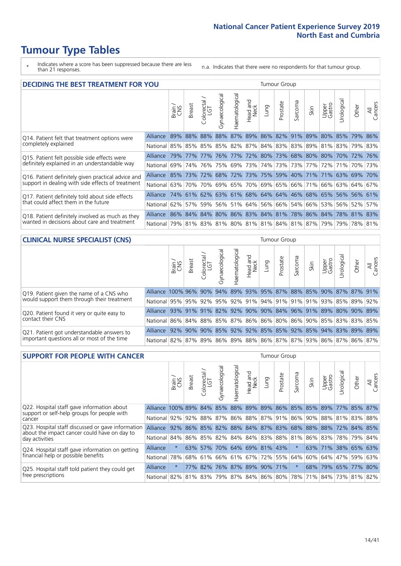# **Tumour Type Tables**

- \* Indicates where a score has been suppressed because there are less than 21 responses.
- n.a. Indicates that there were no respondents for that tumour group.

| <b>DECIDING THE BEST TREATMENT FOR YOU</b>         |                                                                  |       |               |                            |                |                |                  |                     | <b>Tumour Group</b> |         |                                                                 |                 |                 |       |                |
|----------------------------------------------------|------------------------------------------------------------------|-------|---------------|----------------------------|----------------|----------------|------------------|---------------------|---------------------|---------|-----------------------------------------------------------------|-----------------|-----------------|-------|----------------|
|                                                    |                                                                  | Brain | <b>Breast</b> | olorectal<br>LGT<br>$\cup$ | Gynaecological | Haematological | Head and<br>Neck | Lung                | Prostate            | Sarcoma | Skin                                                            | Upper<br>Gastro | Jrologica       | Other | All<br>Cancers |
| Q14. Patient felt that treatment options were      | <b>Alliance</b>                                                  |       |               |                            |                |                |                  |                     |                     |         | 89% 88% 88% 88% 87% 89% 86% 82% 91% 89%                         |                 | 80% 85% 79%     |       | 86%            |
| completely explained                               | National 85% 85% 85% 85% 82% 87% 84% 83% 83% 89% 81% 83% 79% 83% |       |               |                            |                |                |                  |                     |                     |         |                                                                 |                 |                 |       |                |
| Q15. Patient felt possible side effects were       | Alliance                                                         | 79%   | 77%           | 77%                        | 76%            |                |                  |                     |                     |         | 77% 72% 80% 73% 68% 80% 80% 70% 72%                             |                 |                 |       | 76%            |
| definitely explained in an understandable way      | National l                                                       | 69%   | 74%           | 76%                        |                |                |                  | 75% 69% 73% 74% 73% |                     |         | 73% 77%                                                         |                 | 72%   71%   70% |       | 73%            |
| Q16. Patient definitely given practical advice and | Alliance 85% 73% 72% 68% 72% 73% 75% 59% 40% 71% 71% 63% 69% 70% |       |               |                            |                |                |                  |                     |                     |         |                                                                 |                 |                 |       |                |
| support in dealing with side effects of treatment  | National 63%                                                     |       |               | 70% 70%                    |                |                |                  |                     |                     |         | 69%   65%   70%   69%   65%   66%   71%   66%   63%   64%   67% |                 |                 |       |                |
| Q17. Patient definitely told about side effects    | Alliance 74% 61% 62% 63% 61% 68% 64% 64% 46% 68% 65% 56% 56% 61% |       |               |                            |                |                |                  |                     |                     |         |                                                                 |                 |                 |       |                |
| that could affect them in the future               | National 62%                                                     |       |               |                            |                |                |                  |                     |                     |         | 57% 59% 56% 51% 64% 56% 66% 54% 66% 53% 56% 52%                 |                 |                 |       | 57%            |
| Q18. Patient definitely involved as much as they   | Alliance 86% 84% 84% 80% 86% 83% 84% 81% 78% 86% 84% 78% 81% 83% |       |               |                            |                |                |                  |                     |                     |         |                                                                 |                 |                 |       |                |
| wanted in decisions about care and treatment       | National 79% 81% 83% 81% 80% 81% 81% 84% 81% 87% 79% 79% 78% 81% |       |               |                            |                |                |                  |                     |                     |         |                                                                 |                 |                 |       |                |

#### **CLINICAL NURSE SPECIALIST (CNS)** Tumour Group

|                                             |                                                                  | Brain<br>CNS | <b>Breast</b> | Colorectal<br>LGT | Gynaecologic | ᠊ᢛ<br>Ü<br>aematologi | Head and<br>Neck | Lung | Prostate | Sarcoma | Skin | Upper<br>Gastro | ᅙ<br>Irologica | Other                                                   | All<br>Cancers |
|---------------------------------------------|------------------------------------------------------------------|--------------|---------------|-------------------|--------------|-----------------------|------------------|------|----------|---------|------|-----------------|----------------|---------------------------------------------------------|----------------|
| Q19. Patient given the name of a CNS who    | Alliance 100% 96% 90% 94%                                        |              |               |                   |              |                       |                  |      |          |         |      |                 |                | 89% 93% 95% 87% 88% 85% 90% 87% 87%                     | 91%            |
| would support them through their treatment  | National 95% 95% 92% 95% 92% 91% 94% 91% 91% 91% 93% 85% 89%     |              |               |                   |              |                       |                  |      |          |         |      |                 |                |                                                         | 92%            |
| Q20. Patient found it very or quite easy to | Alliance 93% 91% 91% 82% 92% 90% 90% 84% 96% 91% 89% 80% 90% 89% |              |               |                   |              |                       |                  |      |          |         |      |                 |                |                                                         |                |
| contact their CNS                           | National                                                         |              |               |                   |              |                       |                  |      |          |         |      |                 |                | 86% 84% 88% 85% 87% 86% 86% 80% 86% 90% 85% 83% 83% 85% |                |
| Q21. Patient got understandable answers to  | Alliance                                                         |              | $92\%$ 90%    | 90%               | 85%          |                       |                  |      |          |         |      |                 |                | 92% 92% 85% 85% 92% 85% 94% 83% 89%                     | 89%            |
| important questions all or most of the time | National 82% 87% 89% 86% 89% 88% 86% 87% 87% 93% 86% 87% 86% .   |              |               |                   |              |                       |                  |      |          |         |      |                 |                |                                                         | 87%            |

| <b>SUPPORT FOR PEOPLE WITH CANCER</b>                                                             |              |          |               |                         |                |                                         |                        |      | <b>Tumour Group</b> |          |                         |                 |            |                     |                |
|---------------------------------------------------------------------------------------------------|--------------|----------|---------------|-------------------------|----------------|-----------------------------------------|------------------------|------|---------------------|----------|-------------------------|-----------------|------------|---------------------|----------------|
|                                                                                                   |              | Brain    | <b>Breast</b> | ∼<br>Colorectal.<br>LGT | Gynaecological | Haematological                          | ad and<br>Neck<br>Head | Fung | Prostate            | Sarcoma  | Skin                    | Upper<br>Gastro | Jrological | Other               | All<br>Cancers |
| Q22. Hospital staff gave information about<br>support or self-help groups for people with         | Alliance     | 100% 89% |               | $ 84\% $                | 85%            | 88% 89% 89% 86% 85% 85%                 |                        |      |                     |          |                         | 89%             | $ 77\% $   | 85% 87%             |                |
| cancer                                                                                            | National 92% |          |               |                         |                | 92% 88% 87% 86% 88% 87% 91% 86% 90%     |                        |      |                     |          |                         |                 |            | 88% 81% 83%         | 88%            |
| Q23. Hospital staff discussed or gave information<br>about the impact cancer could have on day to | Alliance     | 92%      |               | 86% 85%                 |                | 82% 88% 84% 87% 83% 68% 88%             |                        |      |                     |          |                         | 88%             | 72%        | 84%                 | 85%            |
| day activities                                                                                    | National 84% |          |               |                         |                | 86% 85% 82% 84% 84% 83% 88% 81% 86% 83% |                        |      |                     |          |                         |                 |            | 78% 79%             | 84%            |
| Q24. Hospital staff gave information on getting                                                   | Alliance     | $\star$  |               | 63% 57%                 |                | 70% 64% 69% 81% 43%                     |                        |      |                     | $\ast$   |                         |                 |            | 63% 71% 38% 65% 63% |                |
| financial help or possible benefits                                                               | National 78% |          |               | 68% 61%                 |                | 66%   61%   67%   72%   55%             |                        |      |                     | 64%      | 60%                     | 64% 47%         |            | 59%                 | 63%            |
| Q25. Hospital staff told patient they could get                                                   | Alliance     | $\star$  |               | 77% 82%                 |                | 76% 87% 89% 90% 71%                     |                        |      |                     | $^\star$ | 68%                     |                 |            | 79% 65% 77% 80%     |                |
| free prescriptions                                                                                | National 82% |          |               |                         |                | 81% 83% 79% 87% 84% 86% 80%             |                        |      |                     |          | 78% 71% 84% 73% 81% 82% |                 |            |                     |                |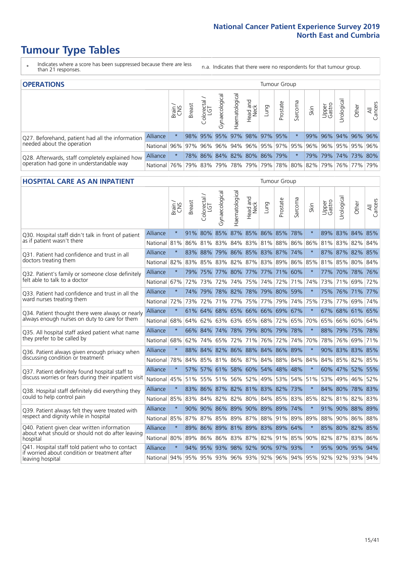# **Tumour Type Tables**

- \* Indicates where a score has been suppressed because there are less than 21 responses.
- n.a. Indicates that there were no respondents for that tumour group.

| <b>OPERATIONS</b>                                |                                                  |       |               |                   |                                     |                |                  |      | Tumour Group                            |         |      |                 |            |                     |                |
|--------------------------------------------------|--------------------------------------------------|-------|---------------|-------------------|-------------------------------------|----------------|------------------|------|-----------------------------------------|---------|------|-----------------|------------|---------------------|----------------|
|                                                  |                                                  | Brain | <b>Breast</b> | Colorectal<br>LGT | $\overline{\sigma}$<br>Gynaecologic | Haematological | Head and<br>Neck | Lung | Prostate                                | Sarcoma | Skin | Upper<br>Gastro | Jrological | Other               | All<br>Cancers |
| Q27. Beforehand, patient had all the information | <b>Alliance</b>                                  |       |               | 98% 95%           | 95%                                 | $ 97\% 98\% $  |                  |      | 97% 95%                                 |         | 99%  |                 |            | 96% 94% 96% 96%     |                |
| needed about the operation                       | National 96% 97% 96% 96% 94% 96% 95% 97% 95% 96% |       |               |                   |                                     |                |                  |      |                                         |         |      |                 |            | 96% 95% 95% 96%     |                |
| Q28. Afterwards, staff completely explained how  | <b>Alliance</b>                                  |       |               |                   |                                     |                |                  |      | 78% 86% 84% 82% 80% 86% 79%             |         |      |                 |            | 79% 79% 74% 73% 80% |                |
| operation had gone in understandable way         | National 76%                                     |       |               |                   |                                     |                |                  |      | 79% 83% 79% 78% 79% 79% 78% 80% 82% 79% |         |      |                 |            | 76% 77%             | 79%            |

#### **HOSPITAL CARE AS AN INPATIENT** Tumour Group

|                                                                                                  |                                                                  | Brain   | <b>Breast</b> | $\frac{\text{Colored}}{\text{LGT}}$ | Gynaecological | Haematological                  | Head and<br>Neck | Lung    | Prostate        | Sarcoma                     | Skin    | Upper<br>Gastro | Urological      | Other   | Cancers<br>$\overline{\overline{z}}$ |
|--------------------------------------------------------------------------------------------------|------------------------------------------------------------------|---------|---------------|-------------------------------------|----------------|---------------------------------|------------------|---------|-----------------|-----------------------------|---------|-----------------|-----------------|---------|--------------------------------------|
| Q30. Hospital staff didn't talk in front of patient                                              | Alliance                                                         | $\star$ | 91%           | 80% 85%                             |                |                                 |                  |         | 87% 85% 86% 85% | 78%                         | $\star$ | 89%             | 83% 84% 85%     |         |                                      |
| as if patient wasn't there                                                                       | National                                                         | 81%     | 86%           |                                     | 81% 83%        | 84% 83% 81%                     |                  |         | 88%             | 86%                         | 86%     |                 | 81% 83% 82% 84% |         |                                      |
| 031. Patient had confidence and trust in all                                                     | Alliance                                                         | $\star$ |               | 83% 88%                             |                | 79% 86% 85% 83%                 |                  |         | 87% 74%         |                             | $\ast$  |                 | 87% 87% 82% 85% |         |                                      |
| doctors treating them                                                                            | National                                                         | 82%     | 83%           | 85%                                 |                | 83% 82%                         |                  |         | 87% 83% 89%     | 86%                         | 85%     |                 | 81% 85%         | 80% 84% |                                      |
| Q32. Patient's family or someone close definitely                                                | <b>Alliance</b>                                                  | $\star$ |               | 79% 75% 77%                         |                | 80% 77% 77% 71%                 |                  |         |                 | 60%                         |         |                 | 77% 70% 78% 76% |         |                                      |
| felt able to talk to a doctor                                                                    | National                                                         | 67%     | 72%           | 73%                                 | 72%            | 74%                             |                  | 75% 74% | 72%             | 71%                         | 74%     | 73%             | 71%             | 69%     | 72%                                  |
| Q33. Patient had confidence and trust in all the                                                 | Alliance                                                         | $\star$ |               | 74% 79%                             |                | 78% 82% 78% 79% 80%             |                  |         |                 | 59%                         |         |                 | 75% 76% 71% 77% |         |                                      |
| ward nurses treating them                                                                        | National                                                         | 72%     | 73%           | 72%                                 |                | 71% 77%                         |                  | 75% 77% | 79%             | 74%                         | 75%     |                 | 73% 77%         | 69% 74% |                                      |
| Q34. Patient thought there were always or nearly                                                 | <b>Alliance</b>                                                  | $\star$ |               | 61% 64%                             | 68%            | 65% 66% 66%                     |                  |         | 69%             | 67%                         | $\star$ |                 | 67% 68% 61% 65% |         |                                      |
| always enough nurses on duty to care for them                                                    | National                                                         | 68%     |               |                                     |                | 64% 62% 63% 63% 65% 68%         |                  |         | 72%             | 65%                         | 70%     |                 | 65% 66%         | 60% 64% |                                      |
| Q35. All hospital staff asked patient what name                                                  | Alliance                                                         | $\star$ |               |                                     |                | 66% 84% 74% 78% 79% 80% 79% 78% |                  |         |                 |                             |         |                 | 88% 79% 75% 78% |         |                                      |
| they prefer to be called by                                                                      | National                                                         | 68%     | 62%           | 74%                                 | 65%            | 72%                             |                  | 71% 76% | 72%             | 74%                         | 70%     | 78%             | 76%             | 69% 71% |                                      |
| Q36. Patient always given enough privacy when                                                    | Alliance                                                         | $\star$ | 88%           | 84%                                 | 82%            | 86% 88% 84%                     |                  |         |                 | 86% 89%                     |         |                 | 90% 83% 83% 85% |         |                                      |
| discussing condition or treatment                                                                | National                                                         | 78%     |               |                                     |                | 84% 85% 81% 86% 87% 84% 88% 84% |                  |         |                 |                             | 84%     |                 | 84% 85% 82% 85% |         |                                      |
| Q37. Patient definitely found hospital staff to                                                  | <b>Alliance</b>                                                  | $\star$ |               |                                     |                | 57% 57% 61% 58% 60% 54%         |                  |         | 48%             | 48%                         |         |                 | 60% 47% 52% 55% |         |                                      |
| discuss worries or fears during their inpatient visit                                            | National                                                         | 45%     |               |                                     |                | 51% 55% 51% 56%                 |                  | 52% 49% | 53%             | 54%                         | 51%     |                 | 53% 49%         | 46% 52% |                                      |
| Q38. Hospital staff definitely did everything they                                               | Alliance                                                         | $\star$ |               |                                     |                | 83% 86% 87% 82% 81% 83% 82% 73% |                  |         |                 |                             | $\star$ |                 | 84% 80% 78% 83% |         |                                      |
| could to help control pain                                                                       | National                                                         | 85%     | 83%           |                                     |                |                                 |                  |         |                 | 84% 82% 82% 80% 84% 85% 83% | 85%     |                 | 82% 81% 82% 83% |         |                                      |
| Q39. Patient always felt they were treated with                                                  | Alliance                                                         | $\star$ |               |                                     |                | 90% 90% 86% 89% 90% 89%         |                  |         | 89%             | 74%                         |         |                 | 91% 90% 88% 89% |         |                                      |
| respect and dignity while in hospital                                                            | National                                                         | 85%     | 87%           | 87%                                 | 85%            | 89%                             | 87%              | 88%     | 91%             | 89%                         | 89%     | 88%             | 90%             | 86%     | 88%                                  |
| Q40. Patient given clear written information<br>about what should or should not do after leaving | Alliance                                                         | $\star$ | 89%           |                                     |                | 86% 89% 81% 89% 83% 89%         |                  |         |                 | 64%                         |         |                 | 85% 80% 82% 85% |         |                                      |
| hospital                                                                                         | National I                                                       | 80%     | 89%           | 86%                                 | 86%            | 83% 87% 82% 91% 85%             |                  |         |                 |                             | 90%     |                 | 82% 87% 83% 86% |         |                                      |
| Q41. Hospital staff told patient who to contact<br>if worried about condition or treatment after | Alliance                                                         | $\star$ | 94%           | 95%                                 |                | 93% 98% 92% 90% 97% 93%         |                  |         |                 |                             | $\ast$  |                 | 95% 90% 95% 94% |         |                                      |
| leaving hospital                                                                                 | National 94% 95% 95% 93% 96% 93% 92% 96% 94% 95% 92% 92% 93% 94% |         |               |                                     |                |                                 |                  |         |                 |                             |         |                 |                 |         |                                      |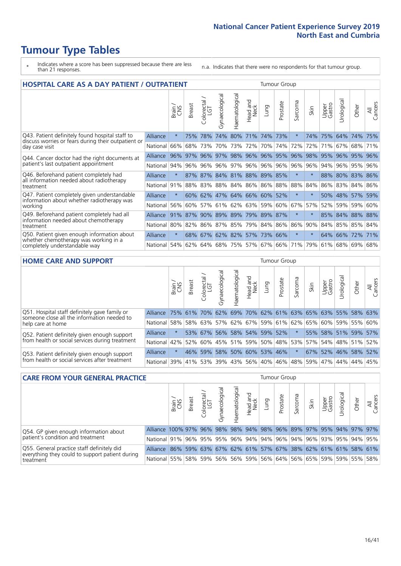# **Tumour Type Tables**

- \* Indicates where a score has been suppressed because there are less than 21 responses.
- n.a. Indicates that there were no respondents for that tumour group.

| <b>HOSPITAL CARE AS A DAY PATIENT / OUTPATIENT</b>                                                     |                 |         |               |                            |                                 |                |                         |                     | <b>Tumour Group</b> |                          |        |                 |             |                 |                |
|--------------------------------------------------------------------------------------------------------|-----------------|---------|---------------|----------------------------|---------------------------------|----------------|-------------------------|---------------------|---------------------|--------------------------|--------|-----------------|-------------|-----------------|----------------|
|                                                                                                        |                 | Brain   | <b>Breast</b> | ╮<br>olorectal<br>LGT<br>Ū | Gynaecological                  | Haematological | aad and<br>Neck<br>Head | Lung                | Prostate            | arcoma<br>$\overline{2}$ | Skin   | Upper<br>Gastro | Jrological  | Other           | All<br>Cancers |
| Q43. Patient definitely found hospital staff to<br>discuss worries or fears during their outpatient or | Alliance        | $\star$ | 75%           | 78%                        | 74%                             | 80%            | 71%                     |                     | 74% 73%             | $\star$                  | 74%    | 75%             |             | 64% 74%         | 75%            |
| day case visit                                                                                         | National        | 66%     | 68%           | 73%                        | 70%                             |                | 73% 72%                 |                     | 70% 74%             | 72%                      | 72%    | 71%             |             | 67% 68%         | 71%            |
| Q44. Cancer doctor had the right documents at                                                          | <b>Alliance</b> | 96%     | 97%           |                            | 96% 97% 98% 96% 96% 95%         |                |                         |                     |                     | 96%                      | 98%    |                 | 95% 96% 95% |                 | 96%            |
| patient's last outpatient appointment                                                                  | National        | 94%     |               |                            | 96% 96% 96%                     | 97%            |                         | 96% 96% 96%         |                     | 96%                      | 96%    | 94%             |             | 96% 95%         | 96%            |
| Q46. Beforehand patient completely had<br>all information needed about radiotherapy                    | <b>Alliance</b> | $\star$ |               |                            | 87% 87% 84% 81% 88% 89% 85%     |                |                         |                     |                     | $^\star$                 | $\ast$ |                 |             | 88% 80% 83% 86% |                |
| treatment                                                                                              | National        | 91%     |               |                            | 88% 83% 88% 84% 86% 86% 88% 88% |                |                         |                     |                     |                          | 84%    | 86%             |             | 83% 84% 86%     |                |
| Q47. Patient completely given understandable<br>information about whether radiotherapy was             | <b>Alliance</b> | $\star$ | 60%           |                            | 62% 47% 64% 66% 60% 52%         |                |                         |                     |                     | $\star$                  | $\ast$ |                 |             | 50% 48% 57%     | 59%            |
| working                                                                                                | National        | 56%     | 60%           | 57%                        | 61%                             |                | 62% 63%                 | 59%                 | 60%                 | 67%                      | 57%    | 52%             |             | 59% 59% 60%     |                |
| Q49. Beforehand patient completely had all                                                             | Alliance        | 91%     | 87%           | 90%                        |                                 |                |                         | 89% 89% 79% 89% 87% |                     | $\star$                  |        |                 |             | 85% 84% 88% 88% |                |
| information needed about chemotherapy<br>treatment                                                     | National        | 80%     | 82%           |                            | 86% 87%                         | 85%            |                         | 79% 84% 86%         |                     | 86%                      | 90%    | 84%             | 85%         | 85% 84%         |                |
| Q50. Patient given enough information about<br>whether chemotherapy was working in a                   | Alliance        | $\star$ | 68%           | 67%                        |                                 | 62% 82%        | 57%                     | 73%                 | 66%                 | $^\star$                 |        | 64%             | 66% 72%     |                 | 171%           |
| completely understandable way                                                                          | National        | 54%     |               |                            | 62% 64% 68% 75% 57% 67% 66% 71% |                |                         |                     |                     |                          | 79%    |                 |             | $61\%$ 68% 69%  | 68%            |
| HOME CABE AND CUBBOBT                                                                                  |                 |         |               |                            |                                 |                |                         |                     |                     |                          |        |                 |             |                 |                |

| <b>HOME CARE AND SUPPORT</b>                                                                 |          |          |               |                             |                   |                |                        |                     | Tumour Group |                                                                 |         |                 |                 |         |                |
|----------------------------------------------------------------------------------------------|----------|----------|---------------|-----------------------------|-------------------|----------------|------------------------|---------------------|--------------|-----------------------------------------------------------------|---------|-----------------|-----------------|---------|----------------|
|                                                                                              |          | Brain    | <b>Breast</b> | olorectal.<br>LGT<br>$\cup$ | ᢛ<br>Gynaecologic | Haematological | ad and<br>Neck<br>Head | Lung                | Prostate     | Sarcoma                                                         | Skin    | Upper<br>Gastro | Urological      | Other   | All<br>Cancers |
| Q51. Hospital staff definitely gave family or<br>someone close all the information needed to | Alliance | 75% 61%  |               | 70%                         | 62%               |                |                        |                     |              | 69% 70% 62% 61% 63% 65%                                         |         |                 | 63% 55% 58% 63% |         |                |
| help care at home                                                                            | National | 58%      |               | 58% 63%                     |                   |                |                        |                     |              | 57% 62% 67% 59% 61% 62% 65%                                     |         | 60%             |                 | 59% 55% | 60%            |
| Q52. Patient definitely given enough support                                                 | Alliance |          |               | 53% 67%                     | 56%               |                |                        | 58% 54% 59% 52%     |              | $\star$                                                         |         |                 | 55% 58% 51% 59% |         | 57%            |
| from health or social services during treatment                                              | National | 42%      | 52%           |                             |                   |                |                        |                     |              | 60%   45%   51%   59%   50%   48%   53%   57%   54%   48%   51% |         |                 |                 |         | 52%            |
| Q53. Patient definitely given enough support                                                 | Alliance | $\star$  |               | 46% 59%                     |                   |                |                        | 58% 50% 60% 53% 46% |              | $\star$                                                         |         |                 | 67% 52% 46% 58% |         | 52%            |
| from health or social services after treatment                                               | National | $ 39\% $ |               | 41% 53%                     |                   | 39% 43%        | 56%                    | 40% 46%             |              |                                                                 | 48% 59% |                 | 47%   44%       | 44%     | 45%            |

| <b>CARE FROM YOUR GENERAL PRACTICE</b>                                                        |                                                                   |        |               |                   |              |                |                  |      | Tumour Group |              |                                                         |                 |           |       |                |
|-----------------------------------------------------------------------------------------------|-------------------------------------------------------------------|--------|---------------|-------------------|--------------|----------------|------------------|------|--------------|--------------|---------------------------------------------------------|-----------------|-----------|-------|----------------|
|                                                                                               |                                                                   | Brain, | <b>Breast</b> | Colorectal<br>LGT | Gynaecologic | Haematological | Head and<br>Neck | Lung | Prostate     | -<br>Sarcoma | Skin                                                    | Upper<br>Gastro | Jrologica | Other | All<br>Cancers |
| Q54. GP given enough information about                                                        | Alliance 100% 97% 96% 98% 98% 94% 98% 96% 89% 97% 95% 94% 97% 97% |        |               |                   |              |                |                  |      |              |              |                                                         |                 |           |       |                |
| patient's condition and treatment                                                             | National 91% 96% 95% 95% 96% 94% 94% 96% 94% 96% 93% 95% 94% 95%  |        |               |                   |              |                |                  |      |              |              |                                                         |                 |           |       |                |
| Q55. General practice staff definitely did<br>everything they could to support patient during | <b>Alliance</b>                                                   |        |               |                   |              |                |                  |      |              |              | 86% 59% 63% 67% 62% 61% 57% 67% 38% 62% 61% 61% 58% 61% |                 |           |       |                |
| treatment                                                                                     | National                                                          | 55%    |               | 58% 59%           |              |                |                  |      |              |              | 56% 56% 59% 56% 64% 56% 65% 59% 59% 55% 58%             |                 |           |       |                |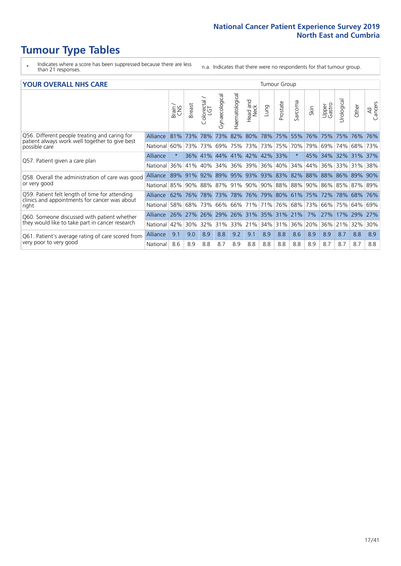# **Tumour Type Tables**

- \* Indicates where a score has been suppressed because there are less than 21 responses.
- n.a. Indicates that there were no respondents for that tumour group.

#### **YOUR OVERALL NHS CARE** THE TWO CONTROLLER THE THE THROUP CHANGE THE TUMOUR GROUP

|          | Brain   | <b>Breast</b> | olorectal<br>LGT<br>Û    | Gynaecological | Haematological                                  | ead and<br>Neck<br>Head | Lung                         | Prostate    | arcoma<br>$\sqrt{ }$                              | Skin                                            | Upper<br>Gastro                                                                          | $\overline{c}$<br>Urologia | Other                     | All<br>Cancers                                                              |
|----------|---------|---------------|--------------------------|----------------|-------------------------------------------------|-------------------------|------------------------------|-------------|---------------------------------------------------|-------------------------------------------------|------------------------------------------------------------------------------------------|----------------------------|---------------------------|-----------------------------------------------------------------------------|
| Alliance | 81%     | 73%           | 78%                      | 73%            | 82%                                             | 80%                     |                              |             | 55%                                               | 76%                                             | 75%                                                                                      | 75%                        | 76%                       | 76%                                                                         |
|          |         |               |                          |                |                                                 |                         |                              |             |                                                   |                                                 | 69%                                                                                      | 74%                        |                           | 73%                                                                         |
| Alliance | $\star$ |               |                          |                |                                                 |                         |                              |             | $\star$                                           |                                                 |                                                                                          |                            |                           |                                                                             |
| National | 36%     | 41%           | 40%                      | 34%            |                                                 |                         |                              |             | 34%                                               | 44%                                             | 36%                                                                                      | 33%                        |                           | 38%                                                                         |
| Alliance |         | 91%           |                          |                |                                                 |                         |                              |             |                                                   |                                                 | 88%                                                                                      |                            |                           | 90%                                                                         |
| National |         |               |                          |                |                                                 |                         |                              |             |                                                   |                                                 | 86%                                                                                      |                            |                           |                                                                             |
| Alliance |         |               |                          |                |                                                 |                         |                              |             |                                                   |                                                 |                                                                                          |                            |                           | 76%                                                                         |
| National | 58%     | 68%           | 73%                      | 66%            | 66%                                             |                         | 71%                          |             | 68%                                               | 73%                                             | 66%                                                                                      | 75%                        |                           | 69%                                                                         |
| Alliance | 26%     | 27%           | 26%                      | 29%            | 26%                                             |                         |                              |             |                                                   | 7%                                              | 27%                                                                                      | 17%                        |                           | 27%                                                                         |
| National |         | 30%           |                          | 31%            | 33%                                             |                         |                              |             | 36%                                               | 20%                                             | 36%                                                                                      |                            |                           | 30%                                                                         |
| Alliance | 9.1     | 9.0           | 8.9                      | 8.8            | 9.2                                             | 9.1                     | 8.9                          | 8.8         | 8.6                                               | 8.9                                             | 8.9                                                                                      | 8.7                        | 8.8                       | 8.9                                                                         |
| National | 8.6     | 8.9           | 8.8                      | 8.7            | 8.9                                             | 8.8                     | 8.8                          | 8.8         | 8.8                                               | 8.9                                             | 8.7                                                                                      | 8.7                        | 8.7                       | 8.8                                                                         |
|          |         | National      | 60%<br>89%<br>62%<br>42% | 76%            | 73% 73%<br>92%<br>85% 90% 88%<br>78% 73%<br>32% | 69%<br>78%              | 36% 39%<br>71%<br>31%<br>21% | 89% 95% 93% | 78% 75%<br>36% 41% 44% 41% 42% 42% 33%<br>35% 31% | 36% 40%<br>93% 83% 82%<br>76%<br>21%<br>34% 31% | 75% 73% 73% 75% 70%  <br>88%<br>87% 91% 90% 90% 88% 88%<br>  76%   79%   80%   61%   75% | 79%<br>90%<br>72%          | 45% 34% 32%<br>86%<br>21% | 68%<br>31% 37%<br>31%<br>89%<br>85% 87% 89%<br>78% 68%<br>64%<br>29%<br>32% |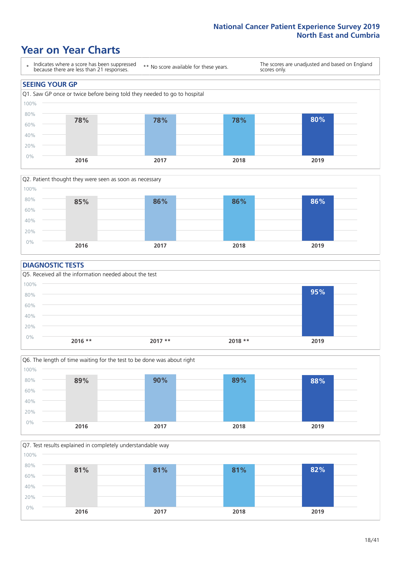### **Year on Year Charts**





#### **DIAGNOSTIC TESTS**





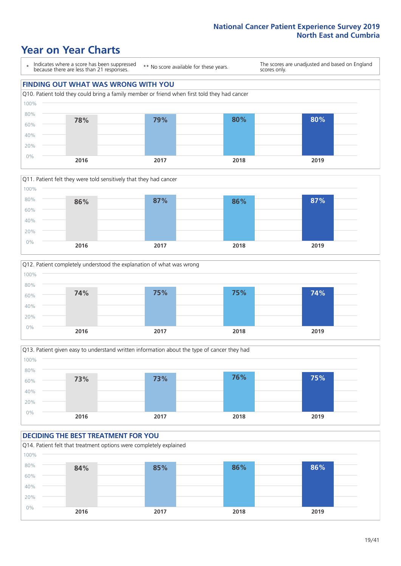### **Year on Year Charts**

\* Indicates where a score has been suppressed because there are less than 21 responses.

\*\* No score available for these years.

The scores are unadjusted and based on England scores only.

#### **FINDING OUT WHAT WAS WRONG WITH YOU** Q10. Patient told they could bring a family member or friend when first told they had cancer 0% 20% 40% 60% 80% 100% **2016 2017 2018 2019 78% 79% 80% 80%**







#### **DECIDING THE BEST TREATMENT FOR YOU**

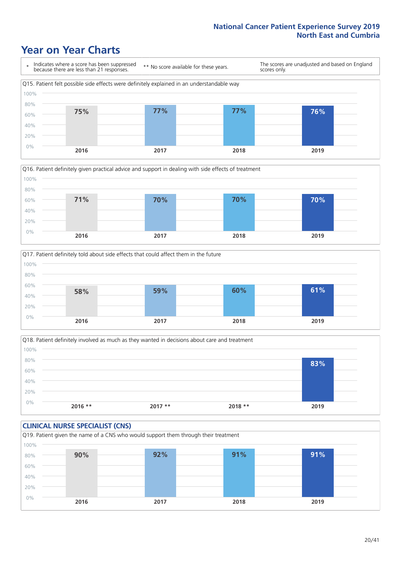### **Year on Year Charts**







Q18. Patient definitely involved as much as they wanted in decisions about care and treatment  $0%$ 20% 40% 60% 80% 100% **2016 \*\* 2017 \*\* 2018 \*\* 2019 83%**

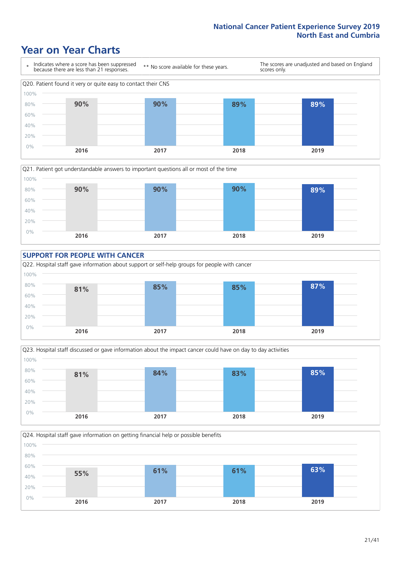### **Year on Year Charts**









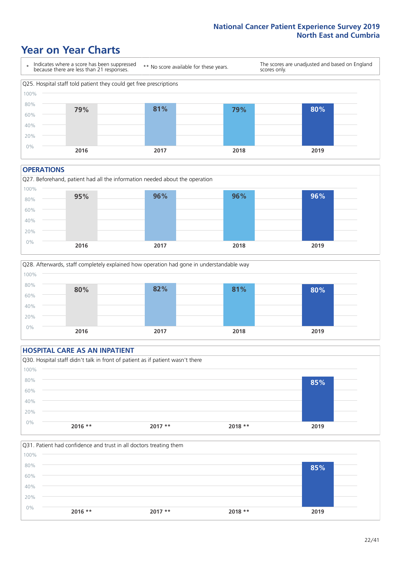### **Year on Year Charts**



#### **OPERATIONS**





#### **HOSPITAL CARE AS AN INPATIENT** Q30. Hospital staff didn't talk in front of patient as if patient wasn't there 0% 20% 40% 60% 80% 100% **2016 \*\* 2017 \*\* 2018 \*\* 2019 85%**

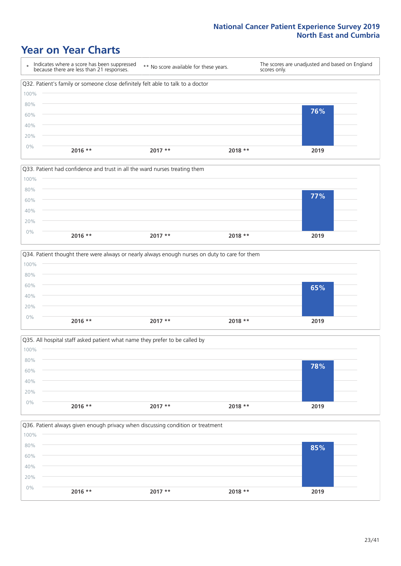### **Year on Year Charts**

|      | Indicates where a score has been suppressed<br>because there are less than 21 responses. | ** No score available for these years. | scores only. | The scores are unadjusted and based on England |
|------|------------------------------------------------------------------------------------------|----------------------------------------|--------------|------------------------------------------------|
|      | Q32. Patient's family or someone close definitely felt able to talk to a doctor          |                                        |              |                                                |
| 100% |                                                                                          |                                        |              |                                                |
| 80%  |                                                                                          |                                        |              |                                                |
| 60%  |                                                                                          |                                        |              | 76%                                            |
| 40%  |                                                                                          |                                        |              |                                                |
| 20%  |                                                                                          |                                        |              |                                                |
| 0%   | $2016$ **                                                                                | $2017**$                               | $2018**$     | 2019                                           |



|       |           | Q34. Patient thought there were always or nearly always enough nurses on duty to care for them |          |      |
|-------|-----------|------------------------------------------------------------------------------------------------|----------|------|
| 100%  |           |                                                                                                |          |      |
| 80%   |           |                                                                                                |          |      |
| 60%   |           |                                                                                                |          | 65%  |
| 40%   |           |                                                                                                |          |      |
| 20%   |           |                                                                                                |          |      |
| $0\%$ | $2016$ ** | $2017**$                                                                                       | $2018**$ | 2019 |
|       |           |                                                                                                |          |      |



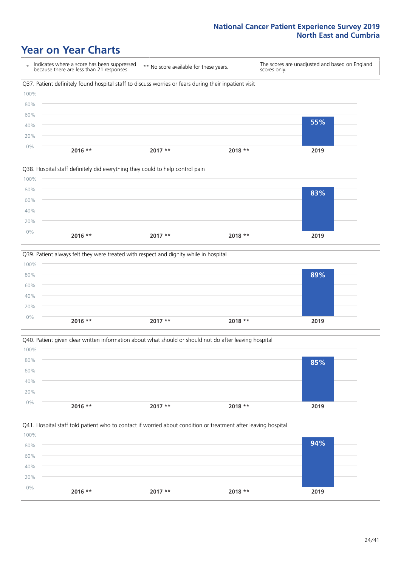### **Year on Year Charts**

|       |           | Q38. Hospital staff definitely did everything they could to help control pain |          |      |  |
|-------|-----------|-------------------------------------------------------------------------------|----------|------|--|
| 100%  |           |                                                                               |          |      |  |
| 80%   |           |                                                                               |          | 83%  |  |
| 60%   |           |                                                                               |          |      |  |
| 40%   |           |                                                                               |          |      |  |
| 20%   |           |                                                                               |          |      |  |
| $0\%$ |           |                                                                               |          |      |  |
|       | $2016$ ** | $2017**$                                                                      | $2018**$ | 2019 |  |

|       |           | Q39. Patient always felt they were treated with respect and dignity while in hospital |          |      |
|-------|-----------|---------------------------------------------------------------------------------------|----------|------|
| 100%  |           |                                                                                       |          |      |
| 80%   |           |                                                                                       |          | 89%  |
| 60%   |           |                                                                                       |          |      |
| 40%   |           |                                                                                       |          |      |
| 20%   |           |                                                                                       |          |      |
| $0\%$ | $2016$ ** | $2017**$                                                                              | $2018**$ | 2019 |
|       |           |                                                                                       |          |      |

| Q40. Patient given clear written information about what should or should not do after leaving hospital |           |          |          |      |  |
|--------------------------------------------------------------------------------------------------------|-----------|----------|----------|------|--|
| 100%                                                                                                   |           |          |          |      |  |
| 80%                                                                                                    |           |          |          | 85%  |  |
| 60%                                                                                                    |           |          |          |      |  |
| 40%                                                                                                    |           |          |          |      |  |
| 20%                                                                                                    |           |          |          |      |  |
| $0\%$                                                                                                  | $2016$ ** | $2017**$ | $2018**$ | 2019 |  |
|                                                                                                        |           |          |          |      |  |

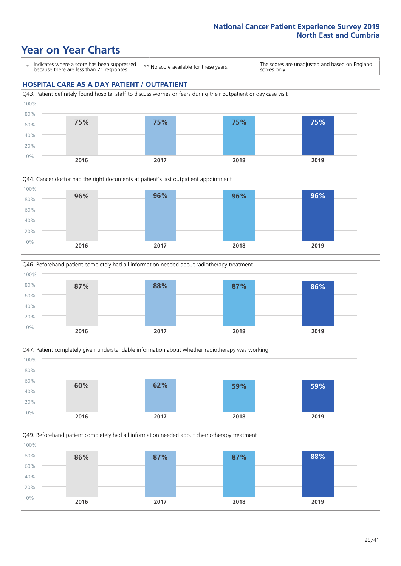### **Year on Year Charts**

\* Indicates where a score has been suppressed because there are less than 21 responses.

\*\* No score available for these years.

The scores are unadjusted and based on England scores only.

#### **HOSPITAL CARE AS A DAY PATIENT / OUTPATIENT**









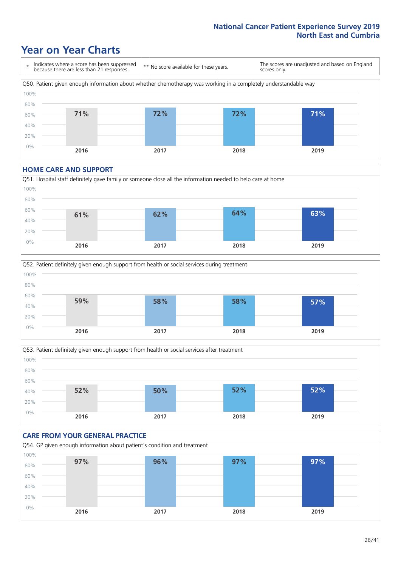### **Year on Year Charts**



#### **HOME CARE AND SUPPORT**







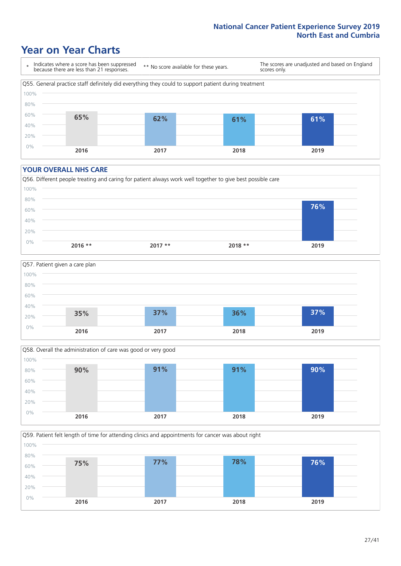### **Year on Year Charts**

\* Indicates where a score has been suppressed because there are less than 21 responses. \*\* No score available for these years. The scores are unadjusted and based on England scores only. Q55. General practice staff definitely did everything they could to support patient during treatment 0% 20% 40% 60% 80% 100% **2016 2017 2018 2019 65% 62% 61% 61%**

#### **YOUR OVERALL NHS CARE**







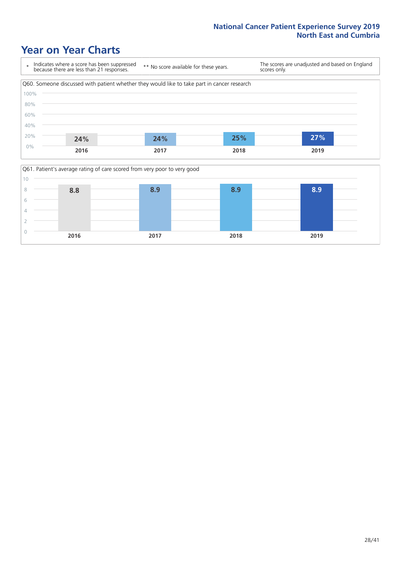### **Year on Year Charts**



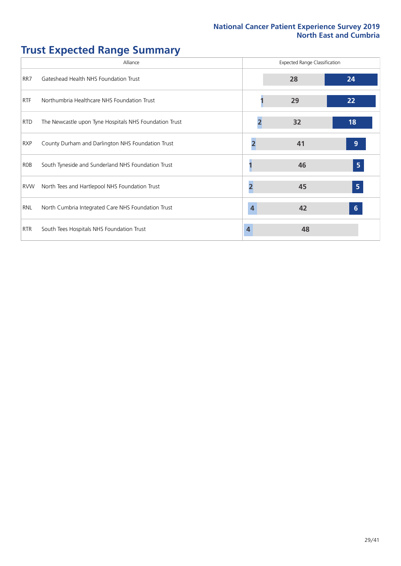# **Trust Expected Range Summary**

|            | Alliance                                               |   | <b>Expected Range Classification</b> |                |
|------------|--------------------------------------------------------|---|--------------------------------------|----------------|
| RR7        | Gateshead Health NHS Foundation Trust                  |   | 28                                   | 24             |
| <b>RTF</b> | Northumbria Healthcare NHS Foundation Trust            |   | 29                                   | 22             |
| <b>RTD</b> | The Newcastle upon Tyne Hospitals NHS Foundation Trust |   | 32                                   | 18             |
| <b>RXP</b> | County Durham and Darlington NHS Foundation Trust      |   | 41                                   | 9              |
| ROB        | South Tyneside and Sunderland NHS Foundation Trust     |   | 46                                   | 5              |
| <b>RVW</b> | North Tees and Hartlepool NHS Foundation Trust         |   | 45                                   | $\overline{5}$ |
| RNL        | North Cumbria Integrated Care NHS Foundation Trust     | 4 | 42                                   | 6 <sup>1</sup> |
| <b>RTR</b> | South Tees Hospitals NHS Foundation Trust              |   | 48                                   |                |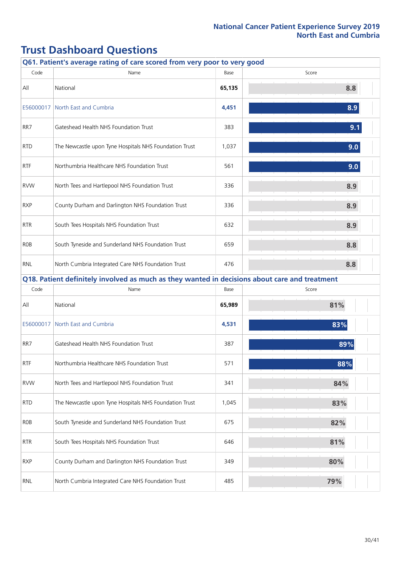|            | Q61. Patient's average rating of care scored from very poor to very good                      |        |       |
|------------|-----------------------------------------------------------------------------------------------|--------|-------|
| Code       | Name                                                                                          | Base   | Score |
| All        | National                                                                                      | 65,135 | 8.8   |
| E56000017  | North East and Cumbria                                                                        | 4,451  | 8.9   |
| RR7        | Gateshead Health NHS Foundation Trust                                                         | 383    | 9.1   |
| <b>RTD</b> | The Newcastle upon Tyne Hospitals NHS Foundation Trust                                        | 1,037  | 9.0   |
| <b>RTF</b> | Northumbria Healthcare NHS Foundation Trust                                                   | 561    | 9.0   |
| <b>RVW</b> | North Tees and Hartlepool NHS Foundation Trust                                                | 336    | 8.9   |
| <b>RXP</b> | County Durham and Darlington NHS Foundation Trust                                             | 336    | 8.9   |
| <b>RTR</b> | South Tees Hospitals NHS Foundation Trust                                                     | 632    | 8.9   |
| <b>ROB</b> | South Tyneside and Sunderland NHS Foundation Trust                                            | 659    | 8.8   |
| <b>RNL</b> | North Cumbria Integrated Care NHS Foundation Trust                                            | 476    | 8.8   |
|            | Q18. Patient definitely involved as much as they wanted in decisions about care and treatment |        |       |
| Code       | Name                                                                                          | Base   | Score |
| All        | National                                                                                      | 65,989 | 81%   |
| E56000017  | North East and Cumbria                                                                        | 4,531  | 83%   |
| RR7        | Gateshead Health NHS Foundation Trust                                                         | 387    | 89%   |
| <b>RTF</b> | Northumbria Healthcare NHS Foundation Trust                                                   | 571    | 88%   |
| <b>RVW</b> | North Tees and Hartlepool NHS Foundation Trust                                                | 341    | 84%   |
| <b>RTD</b> | The Newcastle upon Tyne Hospitals NHS Foundation Trust                                        | 1,045  | 83%   |
| <b>ROB</b> | South Tyneside and Sunderland NHS Foundation Trust                                            | 675    | 82%   |
| <b>RTR</b> | South Tees Hospitals NHS Foundation Trust                                                     | 646    | 81%   |
| <b>RXP</b> | County Durham and Darlington NHS Foundation Trust                                             | 349    | 80%   |
| RNL        | North Cumbria Integrated Care NHS Foundation Trust                                            | 485    | 79%   |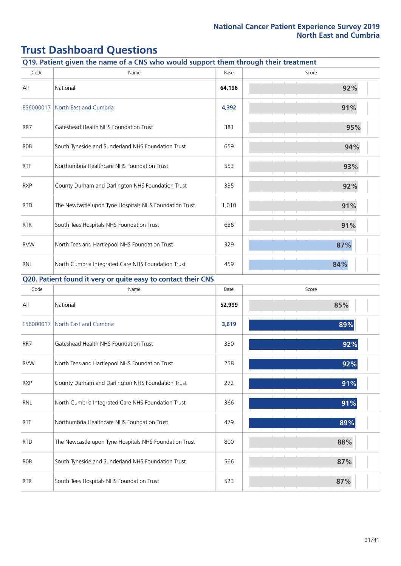| Q19. Patient given the name of a CNS who would support them through their treatment |                                                               |        |       |  |  |
|-------------------------------------------------------------------------------------|---------------------------------------------------------------|--------|-------|--|--|
| Code                                                                                | Name                                                          | Base   | Score |  |  |
| All                                                                                 | National                                                      | 64,196 | 92%   |  |  |
| E56000017                                                                           | North East and Cumbria                                        | 4,392  | 91%   |  |  |
| RR7                                                                                 | Gateshead Health NHS Foundation Trust                         | 381    | 95%   |  |  |
| <b>ROB</b>                                                                          | South Tyneside and Sunderland NHS Foundation Trust            | 659    | 94%   |  |  |
| <b>RTF</b>                                                                          | Northumbria Healthcare NHS Foundation Trust                   | 553    | 93%   |  |  |
| <b>RXP</b>                                                                          | County Durham and Darlington NHS Foundation Trust             | 335    | 92%   |  |  |
| <b>RTD</b>                                                                          | The Newcastle upon Tyne Hospitals NHS Foundation Trust        | 1,010  | 91%   |  |  |
| <b>RTR</b>                                                                          | South Tees Hospitals NHS Foundation Trust                     | 636    | 91%   |  |  |
| <b>RVW</b>                                                                          | North Tees and Hartlepool NHS Foundation Trust                | 329    | 87%   |  |  |
| <b>RNL</b>                                                                          | North Cumbria Integrated Care NHS Foundation Trust            | 459    | 84%   |  |  |
|                                                                                     | Q20. Patient found it very or quite easy to contact their CNS |        |       |  |  |
| Code                                                                                | Name                                                          | Base   | Score |  |  |
| All                                                                                 | National                                                      | 52,999 | 85%   |  |  |
| E56000017                                                                           | North East and Cumbria                                        | 3,619  | 89%   |  |  |
| RR7                                                                                 | Gateshead Health NHS Foundation Trust                         | 330    | 92%   |  |  |
| <b>RVW</b>                                                                          | North Tees and Hartlepool NHS Foundation Trust                | 258    | 92%   |  |  |
| <b>RXP</b>                                                                          | County Durham and Darlington NHS Foundation Trust             | 272    | 91%   |  |  |
| <b>RNL</b>                                                                          | North Cumbria Integrated Care NHS Foundation Trust            | 366    | 91%   |  |  |
| <b>RTF</b>                                                                          | Northumbria Healthcare NHS Foundation Trust                   | 479    | 89%   |  |  |
| <b>RTD</b>                                                                          | The Newcastle upon Tyne Hospitals NHS Foundation Trust        | 800    | 88%   |  |  |
| <b>ROB</b>                                                                          | South Tyneside and Sunderland NHS Foundation Trust            | 566    | 87%   |  |  |
| <b>RTR</b>                                                                          | South Tees Hospitals NHS Foundation Trust                     | 523    | 87%   |  |  |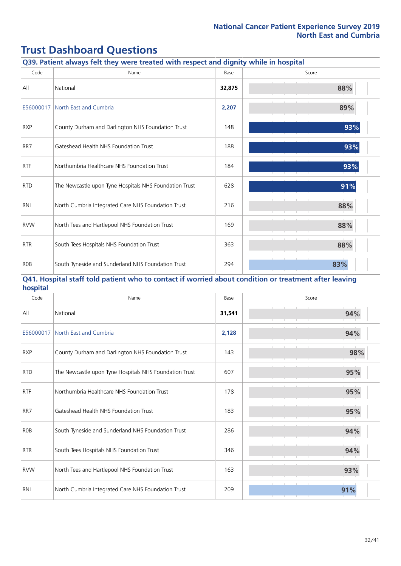|            | Q39. Patient always felt they were treated with respect and dignity while in hospital                 |        |       |
|------------|-------------------------------------------------------------------------------------------------------|--------|-------|
| Code       | Name                                                                                                  | Base   | Score |
| All        | National                                                                                              | 32,875 | 88%   |
|            | E56000017   North East and Cumbria                                                                    | 2,207  | 89%   |
| <b>RXP</b> | County Durham and Darlington NHS Foundation Trust                                                     | 148    | 93%   |
| RR7        | Gateshead Health NHS Foundation Trust                                                                 | 188    | 93%   |
| <b>RTF</b> | Northumbria Healthcare NHS Foundation Trust                                                           | 184    | 93%   |
| <b>RTD</b> | The Newcastle upon Tyne Hospitals NHS Foundation Trust                                                | 628    | 91%   |
| <b>RNL</b> | North Cumbria Integrated Care NHS Foundation Trust                                                    | 216    | 88%   |
| <b>RVW</b> | North Tees and Hartlepool NHS Foundation Trust                                                        | 169    | 88%   |
| <b>RTR</b> | South Tees Hospitals NHS Foundation Trust                                                             | 363    | 88%   |
| <b>ROB</b> | South Tyneside and Sunderland NHS Foundation Trust                                                    | 294    | 83%   |
| hospital   | Q41. Hospital staff told patient who to contact if worried about condition or treatment after leaving |        |       |
| Code       | Name                                                                                                  | Base   | Score |
| All        | National                                                                                              | 31,541 | 94%   |
|            | E56000017 North East and Cumbria                                                                      | 2,128  | 94%   |
| <b>RXP</b> | County Durham and Darlington NHS Foundation Trust                                                     | 143    | 98%   |
| <b>RTD</b> | The Newcastle upon Tyne Hospitals NHS Foundation Trust                                                | 607    | 95%   |
| <b>RTF</b> | Northumbria Healthcare NHS Foundation Trust                                                           | 178    | 95%   |
| RR7        | Gateshead Health NHS Foundation Trust                                                                 | 183    | 95%   |
| <b>ROB</b> | South Tyneside and Sunderland NHS Foundation Trust                                                    | 286    | 94%   |
| <b>RTR</b> | South Tees Hospitals NHS Foundation Trust                                                             | 346    | 94%   |
| <b>RVW</b> | North Tees and Hartlepool NHS Foundation Trust                                                        | 163    | 93%   |
| <b>RNL</b> | North Cumbria Integrated Care NHS Foundation Trust                                                    | 209    | 91%   |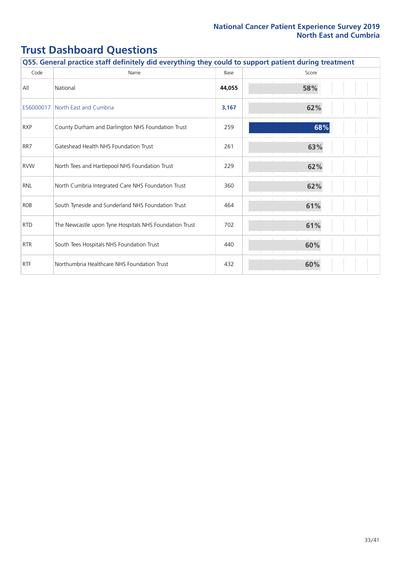| Q55. General practice staff definitely did everything they could to support patient during treatment |                                                        |        |       |  |
|------------------------------------------------------------------------------------------------------|--------------------------------------------------------|--------|-------|--|
| Code                                                                                                 | Name                                                   | Base   | Score |  |
| All                                                                                                  | National                                               | 44,055 | 58%   |  |
| E56000017                                                                                            | North East and Cumbria                                 | 3,167  | 62%   |  |
| <b>RXP</b>                                                                                           | County Durham and Darlington NHS Foundation Trust      | 259    | 68%   |  |
| RR7                                                                                                  | Gateshead Health NHS Foundation Trust                  | 261    | 63%   |  |
| <b>RVW</b>                                                                                           | North Tees and Hartlepool NHS Foundation Trust         | 229    | 62%   |  |
| <b>RNL</b>                                                                                           | North Cumbria Integrated Care NHS Foundation Trust     | 360    | 62%   |  |
| <b>ROB</b>                                                                                           | South Tyneside and Sunderland NHS Foundation Trust     | 464    | 61%   |  |
| <b>RTD</b>                                                                                           | The Newcastle upon Tyne Hospitals NHS Foundation Trust | 702    | 61%   |  |
| <b>RTR</b>                                                                                           | South Tees Hospitals NHS Foundation Trust              | 440    | 60%   |  |
| <b>RTF</b>                                                                                           | Northumbria Healthcare NHS Foundation Trust            | 432    | 60%   |  |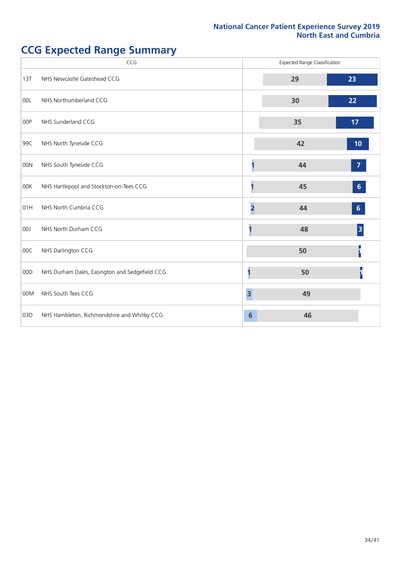# **CCG Expected Range Summary**

|     | CCG                                            |                         | <b>Expected Range Classification</b> |                  |
|-----|------------------------------------------------|-------------------------|--------------------------------------|------------------|
| 13T | NHS Newcastle Gateshead CCG                    |                         | 29                                   | 23               |
| 00L | NHS Northumberland CCG                         |                         | 30                                   | 22               |
| 00P | NHS Sunderland CCG                             |                         | 35                                   | 17 <sub>2</sub>  |
| 99C | NHS North Tyneside CCG                         |                         | 42                                   | 10               |
| 00N | NHS South Tyneside CCG                         |                         | 44                                   | $\overline{7}$   |
| 00K | NHS Hartlepool and Stockton-on-Tees CCG        |                         | 45                                   | $\boldsymbol{6}$ |
| 01H | NHS North Cumbria CCG                          | $\overline{2}$          | 44                                   | $\boldsymbol{6}$ |
| 00J | NHS North Durham CCG                           |                         | 48                                   | 3                |
| 00C | NHS Darlington CCG                             |                         | 50                                   |                  |
| 00D | NHS Durham Dales, Easington and Sedgefield CCG | п                       | 50                                   |                  |
| 00M | NHS South Tees CCG                             | $\overline{\mathbf{3}}$ | 49                                   |                  |
| 03D | NHS Hambleton, Richmondshire and Whitby CCG    | $6\phantom{1}$          | 46                                   |                  |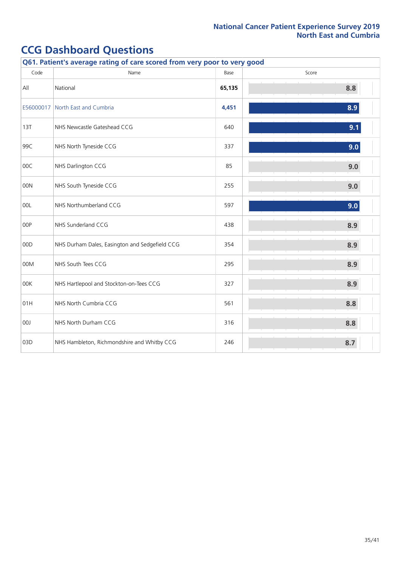| Q61. Patient's average rating of care scored from very poor to very good |                                                |        |       |  |  |
|--------------------------------------------------------------------------|------------------------------------------------|--------|-------|--|--|
| Code                                                                     | Name                                           | Base   | Score |  |  |
| All                                                                      | National                                       | 65,135 | 8.8   |  |  |
| E56000017                                                                | North East and Cumbria                         | 4,451  | 8.9   |  |  |
| 13T                                                                      | NHS Newcastle Gateshead CCG                    | 640    | 9.1   |  |  |
| 99C                                                                      | NHS North Tyneside CCG                         | 337    | 9.0   |  |  |
| 00C                                                                      | NHS Darlington CCG                             | 85     | 9.0   |  |  |
| 00N                                                                      | NHS South Tyneside CCG                         | 255    | 9.0   |  |  |
| 00L                                                                      | NHS Northumberland CCG                         | 597    | 9.0   |  |  |
| 00P                                                                      | NHS Sunderland CCG                             | 438    | 8.9   |  |  |
| 00D                                                                      | NHS Durham Dales, Easington and Sedgefield CCG | 354    | 8.9   |  |  |
| 00M                                                                      | NHS South Tees CCG                             | 295    | 8.9   |  |  |
| 00K                                                                      | NHS Hartlepool and Stockton-on-Tees CCG        | 327    | 8.9   |  |  |
| 01H                                                                      | NHS North Cumbria CCG                          | 561    | 8.8   |  |  |
| 00J                                                                      | NHS North Durham CCG                           | 316    | 8.8   |  |  |
| 03D                                                                      | NHS Hambleton, Richmondshire and Whitby CCG    | 246    | 8.7   |  |  |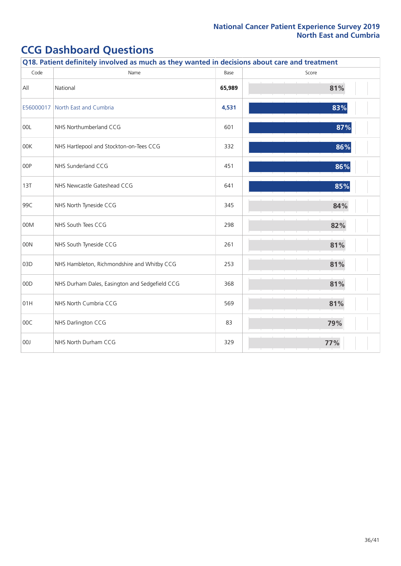|           | Q18. Patient definitely involved as much as they wanted in decisions about care and treatment |        |       |  |  |  |  |
|-----------|-----------------------------------------------------------------------------------------------|--------|-------|--|--|--|--|
| Code      | Name                                                                                          | Base   | Score |  |  |  |  |
| All       | National                                                                                      | 65,989 | 81%   |  |  |  |  |
| E56000017 | North East and Cumbria                                                                        | 4,531  | 83%   |  |  |  |  |
| 00L       | NHS Northumberland CCG                                                                        | 601    | 87%   |  |  |  |  |
| 00K       | NHS Hartlepool and Stockton-on-Tees CCG                                                       | 332    | 86%   |  |  |  |  |
| 00P       | NHS Sunderland CCG                                                                            | 451    | 86%   |  |  |  |  |
| 13T       | NHS Newcastle Gateshead CCG                                                                   | 641    | 85%   |  |  |  |  |
| 99C       | NHS North Tyneside CCG                                                                        | 345    | 84%   |  |  |  |  |
| 00M       | NHS South Tees CCG                                                                            | 298    | 82%   |  |  |  |  |
| 00N       | NHS South Tyneside CCG                                                                        | 261    | 81%   |  |  |  |  |
| 03D       | NHS Hambleton, Richmondshire and Whitby CCG                                                   | 253    | 81%   |  |  |  |  |
| 00D       | NHS Durham Dales, Easington and Sedgefield CCG                                                | 368    | 81%   |  |  |  |  |
| 01H       | NHS North Cumbria CCG                                                                         | 569    | 81%   |  |  |  |  |
| 00C       | NHS Darlington CCG                                                                            | 83     | 79%   |  |  |  |  |
| 00J       | NHS North Durham CCG                                                                          | 329    | 77%   |  |  |  |  |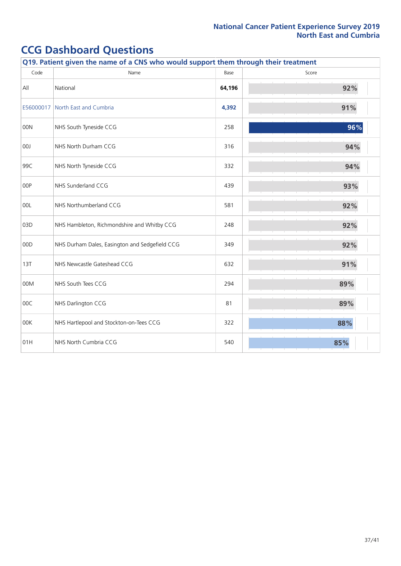| Q19. Patient given the name of a CNS who would support them through their treatment |                                                |        |       |
|-------------------------------------------------------------------------------------|------------------------------------------------|--------|-------|
| Code                                                                                | Name                                           | Base   | Score |
| All                                                                                 | National                                       | 64,196 | 92%   |
| E56000017                                                                           | North East and Cumbria                         | 4,392  | 91%   |
| 00N                                                                                 | NHS South Tyneside CCG                         | 258    | 96%   |
| 00J                                                                                 | NHS North Durham CCG                           | 316    | 94%   |
| 99C                                                                                 | NHS North Tyneside CCG                         | 332    | 94%   |
| 00P                                                                                 | NHS Sunderland CCG                             | 439    | 93%   |
| 00L                                                                                 | NHS Northumberland CCG                         | 581    | 92%   |
| 03D                                                                                 | NHS Hambleton, Richmondshire and Whitby CCG    | 248    | 92%   |
| 00D                                                                                 | NHS Durham Dales, Easington and Sedgefield CCG | 349    | 92%   |
| 13T                                                                                 | NHS Newcastle Gateshead CCG                    | 632    | 91%   |
| 00M                                                                                 | NHS South Tees CCG                             | 294    | 89%   |
| 00C                                                                                 | NHS Darlington CCG                             | 81     | 89%   |
| 00K                                                                                 | NHS Hartlepool and Stockton-on-Tees CCG        | 322    | 88%   |
| 01H                                                                                 | NHS North Cumbria CCG                          | 540    | 85%   |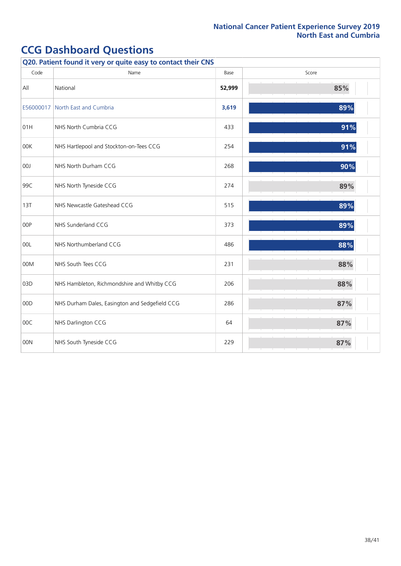| Q20. Patient found it very or quite easy to contact their CNS |                                                |        |       |
|---------------------------------------------------------------|------------------------------------------------|--------|-------|
| Code                                                          | Name                                           | Base   | Score |
| All                                                           | National                                       | 52,999 | 85%   |
|                                                               | E56000017 North East and Cumbria               | 3,619  | 89%   |
| 01H                                                           | NHS North Cumbria CCG                          | 433    | 91%   |
| 00K                                                           | NHS Hartlepool and Stockton-on-Tees CCG        | 254    | 91%   |
| 00J                                                           | NHS North Durham CCG                           | 268    | 90%   |
| 99C                                                           | NHS North Tyneside CCG                         | 274    | 89%   |
| 13T                                                           | NHS Newcastle Gateshead CCG                    | 515    | 89%   |
| 00P                                                           | NHS Sunderland CCG                             | 373    | 89%   |
| 00L                                                           | NHS Northumberland CCG                         | 486    | 88%   |
| 00M                                                           | NHS South Tees CCG                             | 231    | 88%   |
| 03D                                                           | NHS Hambleton, Richmondshire and Whitby CCG    | 206    | 88%   |
| 00D                                                           | NHS Durham Dales, Easington and Sedgefield CCG | 286    | 87%   |
| 00C                                                           | NHS Darlington CCG                             | 64     | 87%   |
| 00N                                                           | NHS South Tyneside CCG                         | 229    | 87%   |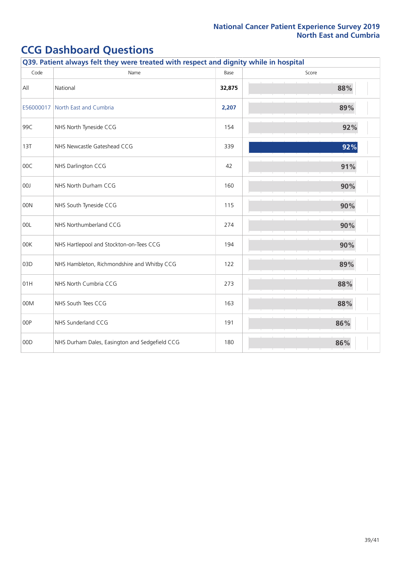| Q39. Patient always felt they were treated with respect and dignity while in hospital |                                                |        |       |
|---------------------------------------------------------------------------------------|------------------------------------------------|--------|-------|
| Code                                                                                  | Name                                           | Base   | Score |
| All                                                                                   | National                                       | 32,875 | 88%   |
| E56000017                                                                             | North East and Cumbria                         | 2,207  | 89%   |
| 99C                                                                                   | NHS North Tyneside CCG                         | 154    | 92%   |
| 13T                                                                                   | NHS Newcastle Gateshead CCG                    | 339    | 92%   |
| 00C                                                                                   | NHS Darlington CCG                             | 42     | 91%   |
| 00J                                                                                   | NHS North Durham CCG                           | 160    | 90%   |
| 00N                                                                                   | NHS South Tyneside CCG                         | 115    | 90%   |
| 00L                                                                                   | NHS Northumberland CCG                         | 274    | 90%   |
| 00K                                                                                   | NHS Hartlepool and Stockton-on-Tees CCG        | 194    | 90%   |
| 03D                                                                                   | NHS Hambleton, Richmondshire and Whitby CCG    | 122    | 89%   |
| 01H                                                                                   | NHS North Cumbria CCG                          | 273    | 88%   |
| 00M                                                                                   | NHS South Tees CCG                             | 163    | 88%   |
| 00P                                                                                   | NHS Sunderland CCG                             | 191    | 86%   |
| 00D                                                                                   | NHS Durham Dales, Easington and Sedgefield CCG | 180    | 86%   |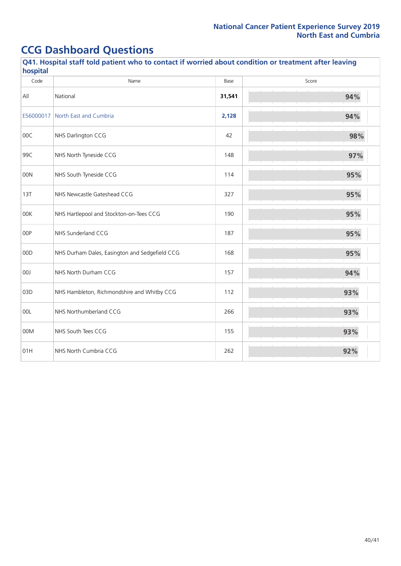| Q41. Hospital staff told patient who to contact if worried about condition or treatment after leaving<br>hospital |                                                |        |       |
|-------------------------------------------------------------------------------------------------------------------|------------------------------------------------|--------|-------|
| Code                                                                                                              | Name                                           | Base   | Score |
| All                                                                                                               | National                                       | 31,541 | 94%   |
| E56000017                                                                                                         | North East and Cumbria                         | 2,128  | 94%   |
| 00C                                                                                                               | NHS Darlington CCG                             | 42     | 98%   |
| 99C                                                                                                               | NHS North Tyneside CCG                         | 148    | 97%   |
| 00N                                                                                                               | NHS South Tyneside CCG                         | 114    | 95%   |
| 13T                                                                                                               | NHS Newcastle Gateshead CCG                    | 327    | 95%   |
| 00K                                                                                                               | NHS Hartlepool and Stockton-on-Tees CCG        | 190    | 95%   |
| 00P                                                                                                               | NHS Sunderland CCG                             | 187    | 95%   |
| 00D                                                                                                               | NHS Durham Dales, Easington and Sedgefield CCG | 168    | 95%   |
| 00J                                                                                                               | NHS North Durham CCG                           | 157    | 94%   |
| 03D                                                                                                               | NHS Hambleton, Richmondshire and Whitby CCG    | 112    | 93%   |
| 00L                                                                                                               | NHS Northumberland CCG                         | 266    | 93%   |
| 00M                                                                                                               | NHS South Tees CCG                             | 155    | 93%   |
| 01H                                                                                                               | NHS North Cumbria CCG                          | 262    | 92%   |